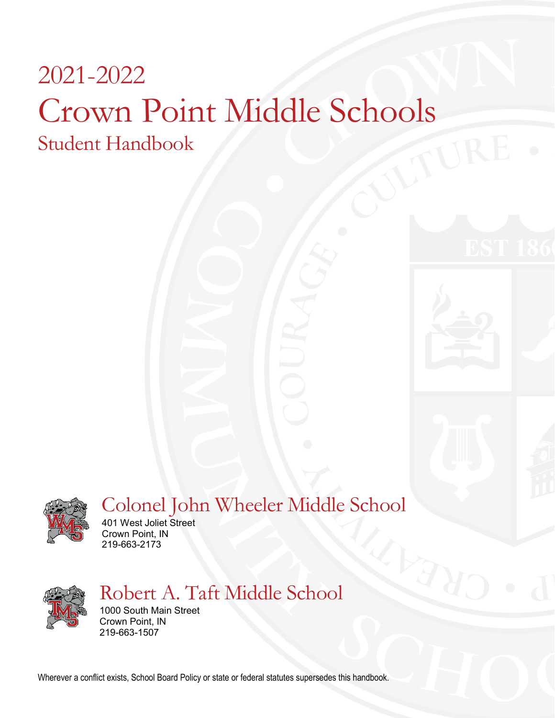# 2021-2022 Crown Point Middle Schools Student Handbook



# Colonel John Wheeler Middle School

401 West Joliet Street Crown Point, IN 219-663-2173



# Robert A. Taft Middle School

1000 South Main Street Crown Point, IN 219-663-1507

Wherever a conflict exists, School Board Policy or state or federal statutes supersedes this handbook.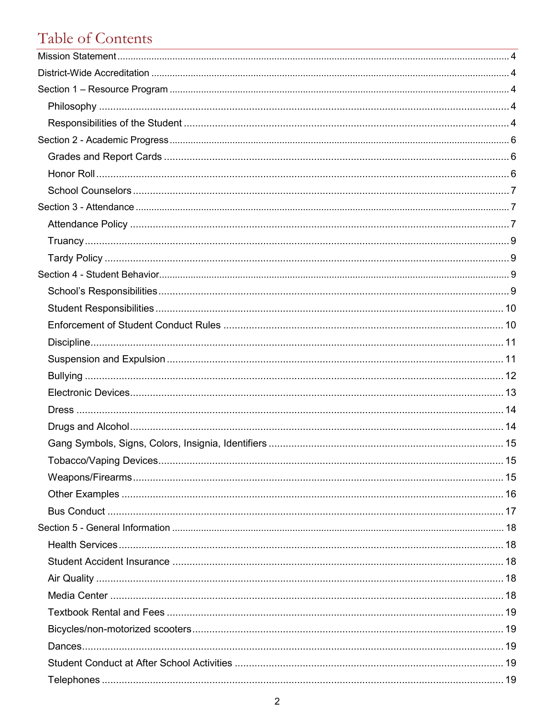# Table of Contents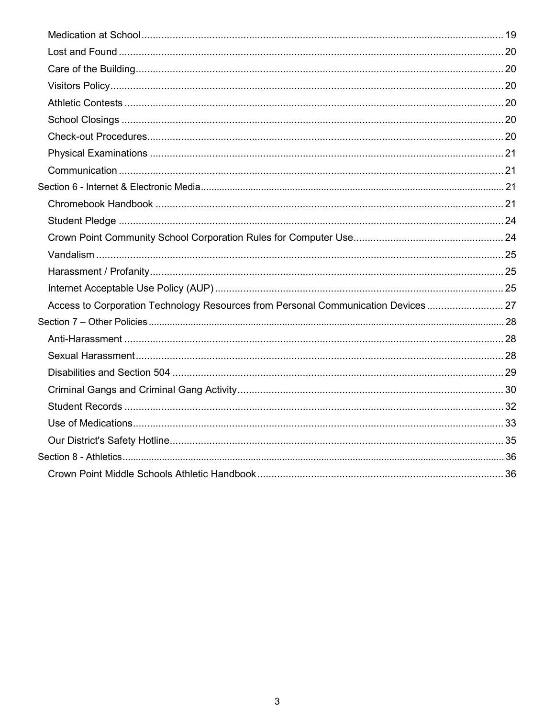| Access to Corporation Technology Resources from Personal Communication Devices 27 |  |
|-----------------------------------------------------------------------------------|--|
|                                                                                   |  |
|                                                                                   |  |
|                                                                                   |  |
|                                                                                   |  |
|                                                                                   |  |
|                                                                                   |  |
|                                                                                   |  |
|                                                                                   |  |
|                                                                                   |  |
|                                                                                   |  |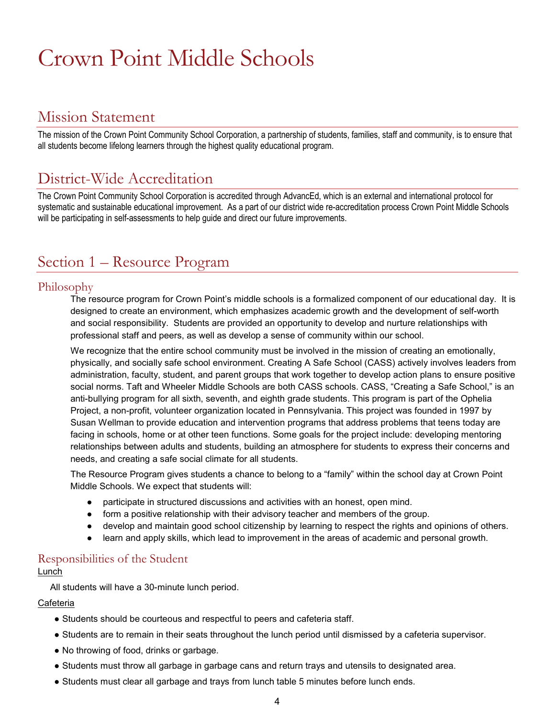# Crown Point Middle Schools

# <span id="page-3-0"></span>Mission Statement

The mission of the Crown Point Community School Corporation, a partnership of students, families, staff and community, is to ensure that all students become lifelong learners through the highest quality educational program.

# <span id="page-3-1"></span>District-Wide Accreditation

The Crown Point Community School Corporation is accredited through AdvancEd, which is an external and international protocol for systematic and sustainable educational improvement. As a part of our district wide re-accreditation process Crown Point Middle Schools will be participating in self-assessments to help guide and direct our future improvements.

# <span id="page-3-2"></span>Section 1 – Resource Program

# <span id="page-3-3"></span>Philosophy

The resource program for Crown Point's middle schools is a formalized component of our educational day. It is designed to create an environment, which emphasizes academic growth and the development of self-worth and social responsibility. Students are provided an opportunity to develop and nurture relationships with professional staff and peers, as well as develop a sense of community within our school.

We recognize that the entire school community must be involved in the mission of creating an emotionally, physically, and socially safe school environment. Creating A Safe School (CASS) actively involves leaders from administration, faculty, student, and parent groups that work together to develop action plans to ensure positive social norms. Taft and Wheeler Middle Schools are both CASS schools. CASS, "Creating a Safe School," is an anti-bullying program for all sixth, seventh, and eighth grade students. This program is part of the Ophelia Project, a non-profit, volunteer organization located in Pennsylvania. This project was founded in 1997 by Susan Wellman to provide education and intervention programs that address problems that teens today are facing in schools, home or at other teen functions. Some goals for the project include: developing mentoring relationships between adults and students, building an atmosphere for students to express their concerns and needs, and creating a safe social climate for all students.

The Resource Program gives students a chance to belong to a "family" within the school day at Crown Point Middle Schools. We expect that students will:

- participate in structured discussions and activities with an honest, open mind.
- form a positive relationship with their advisory teacher and members of the group.
- develop and maintain good school citizenship by learning to respect the rights and opinions of others.
- learn and apply skills, which lead to improvement in the areas of academic and personal growth.

## <span id="page-3-4"></span>Responsibilities of the Student Lunch

All students will have a 30-minute lunch period.

### Cafeteria

- Students should be courteous and respectful to peers and cafeteria staff.
- Students are to remain in their seats throughout the lunch period until dismissed by a cafeteria supervisor.
- No throwing of food, drinks or garbage.
- Students must throw all garbage in garbage cans and return trays and utensils to designated area.
- Students must clear all garbage and trays from lunch table 5 minutes before lunch ends.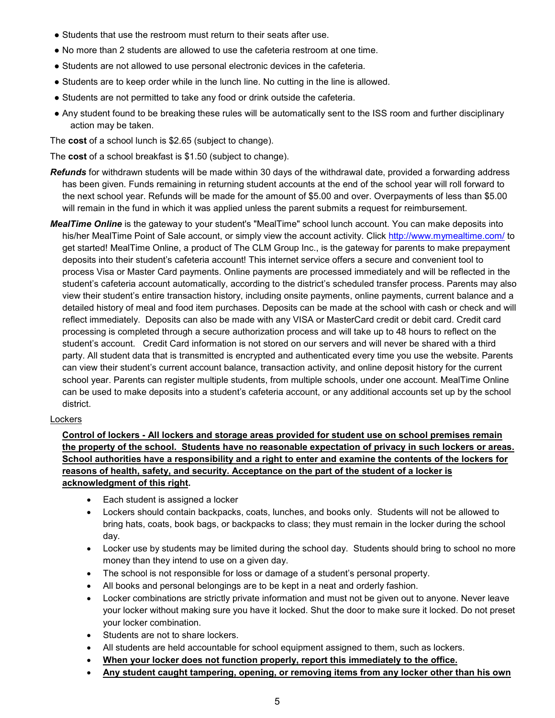- Students that use the restroom must return to their seats after use.
- No more than 2 students are allowed to use the cafeteria restroom at one time.
- Students are not allowed to use personal electronic devices in the cafeteria.
- Students are to keep order while in the lunch line. No cutting in the line is allowed.
- Students are not permitted to take any food or drink outside the cafeteria.
- Any student found to be breaking these rules will be automatically sent to the ISS room and further disciplinary action may be taken.

The **cost** of a school lunch is \$2.65 (subject to change).

The **cost** of a school breakfast is \$1.50 (subject to change).

- *Refunds* for withdrawn students will be made within 30 days of the withdrawal date, provided a forwarding address has been given. Funds remaining in returning student accounts at the end of the school year will roll forward to the next school year. Refunds will be made for the amount of \$5.00 and over. Overpayments of less than \$5.00 will remain in the fund in which it was applied unless the parent submits a request for reimbursement.
- *MealTime Online* is the gateway to your student's "MealTime" school lunch account. You can make deposits into his/her MealTime Point of Sale account, or simply view the account activity. Click<http://www.mymealtime.com/> to get started! MealTime Online, a product of The CLM Group Inc., is the gateway for parents to make prepayment deposits into their student's cafeteria account! This internet service offers a secure and convenient tool to process Visa or Master Card payments. Online payments are processed immediately and will be reflected in the student's cafeteria account automatically, according to the district's scheduled transfer process. Parents may also view their student's entire transaction history, including onsite payments, online payments, current balance and a detailed history of meal and food item purchases. Deposits can be made at the school with cash or check and will reflect immediately. Deposits can also be made with any VISA or MasterCard credit or debit card. Credit card processing is completed through a secure authorization process and will take up to 48 hours to reflect on the student's account. Credit Card information is not stored on our servers and will never be shared with a third party. All student data that is transmitted is encrypted and authenticated every time you use the website. Parents can view their student's current account balance, transaction activity, and online deposit history for the current school year. Parents can register multiple students, from multiple schools, under one account. MealTime Online can be used to make deposits into a student's cafeteria account, or any additional accounts set up by the school district.

#### **Lockers**

### **Control of lockers - All lockers and storage areas provided for student use on school premises remain the property of the school. Students have no reasonable expectation of privacy in such lockers or areas. School authorities have a responsibility and a right to enter and examine the contents of the lockers for reasons of health, safety, and security. Acceptance on the part of the student of a locker is acknowledgment of this right.**

- Each student is assigned a locker
- Lockers should contain backpacks, coats, lunches, and books only. Students will not be allowed to bring hats, coats, book bags, or backpacks to class; they must remain in the locker during the school day.
- Locker use by students may be limited during the school day. Students should bring to school no more money than they intend to use on a given day.
- The school is not responsible for loss or damage of a student's personal property.
- All books and personal belongings are to be kept in a neat and orderly fashion.
- Locker combinations are strictly private information and must not be given out to anyone. Never leave your locker without making sure you have it locked. Shut the door to make sure it locked. Do not preset your locker combination.
- Students are not to share lockers.
- All students are held accountable for school equipment assigned to them, such as lockers.
- **When your locker does not function properly, report this immediately to the office.**
- **Any student caught tampering, opening, or removing items from any locker other than his own**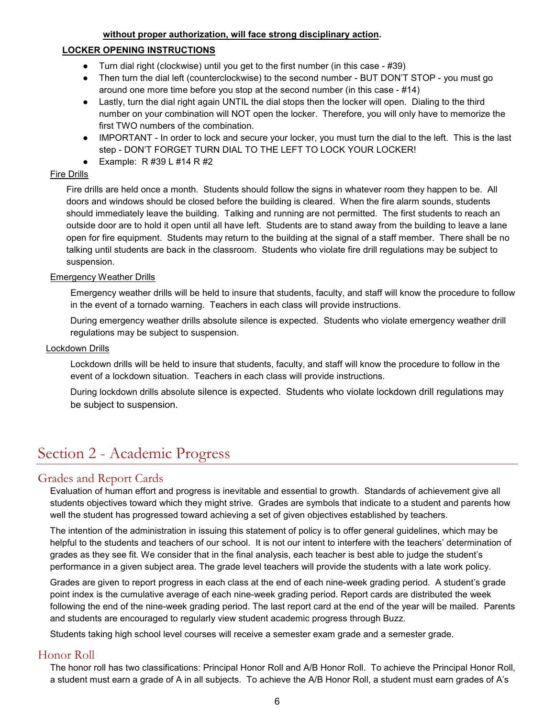### **without proper authorization, will face strong disciplinary action.**

### **LOCKER OPENING INSTRUCTIONS**

- Turn dial right (clockwise) until you get to the first number (in this case  $-$  #39)
- Then turn the dial left (counterclockwise) to the second number BUT DON'T STOP you must go around one more time before you stop at the second number (in this case - #14)
- Lastly, turn the dial right again UNTIL the dial stops then the locker will open. Dialing to the third number on your combination will NOT open the locker. Therefore, you will only have to memorize the first TWO numbers of the combination.
- IMPORTANT In order to lock and secure your locker, you must turn the dial to the left. This is the last step - DON'T FORGET TURN DIAL TO THE LEFT TO LOCK YOUR LOCKER!
- Example:  $R$  #39 L #14 R #2

### Fire Drills

Fire drills are held once a month. Students should follow the signs in whatever room they happen to be. All doors and windows should be closed before the building is cleared. When the fire alarm sounds, students should immediately leave the building. Talking and running are not permitted. The first students to reach an outside door are to hold it open until all have left. Students are to stand away from the building to leave a lane open for fire equipment. Students may return to the building at the signal of a staff member. There shall be no talking until students are back in the classroom. Students who violate fire drill regulations may be subject to suspension.

### Emergency Weather Drills

Emergency weather drills will be held to insure that students, faculty, and staff will know the procedure to follow in the event of a tornado warning. Teachers in each class will provide instructions.

During emergency weather drills absolute silence is expected. Students who violate emergency weather drill regulations may be subject to suspension.

### Lockdown Drills

Lockdown drills will be held to insure that students, faculty, and staff will know the procedure to follow in the event of a lockdown situation. Teachers in each class will provide instructions.

During lockdown drills absolute silence is expected. Students who violate lockdown drill regulations may be subject to suspension.

# <span id="page-5-0"></span>Section 2 - Academic Progress

# <span id="page-5-1"></span>Grades and Report Cards

Evaluation of human effort and progress is inevitable and essential to growth. Standards of achievement give all students objectives toward which they might strive. Grades are symbols that indicate to a student and parents how well the student has progressed toward achieving a set of given objectives established by teachers.

The intention of the administration in issuing this statement of policy is to offer general guidelines, which may be helpful to the students and teachers of our school. It is not our intent to interfere with the teachers' determination of grades as they see fit. We consider that in the final analysis, each teacher is best able to judge the student's performance in a given subject area. The grade level teachers will provide the students with a late work policy.

Grades are given to report progress in each class at the end of each nine-week grading period. A student's grade point index is the cumulative average of each nine-week grading period. Report cards are distributed the week following the end of the nine-week grading period. The last report card at the end of the year will be mailed. Parents and students are encouraged to regularly view student academic progress through Buzz.

Students taking high school level courses will receive a semester exam grade and a semester grade.

# <span id="page-5-2"></span>Honor Roll

The honor roll has two classifications: Principal Honor Roll and A/B Honor Roll. To achieve the Principal Honor Roll, a student must earn a grade of A in all subjects. To achieve the A/B Honor Roll, a student must earn grades of A's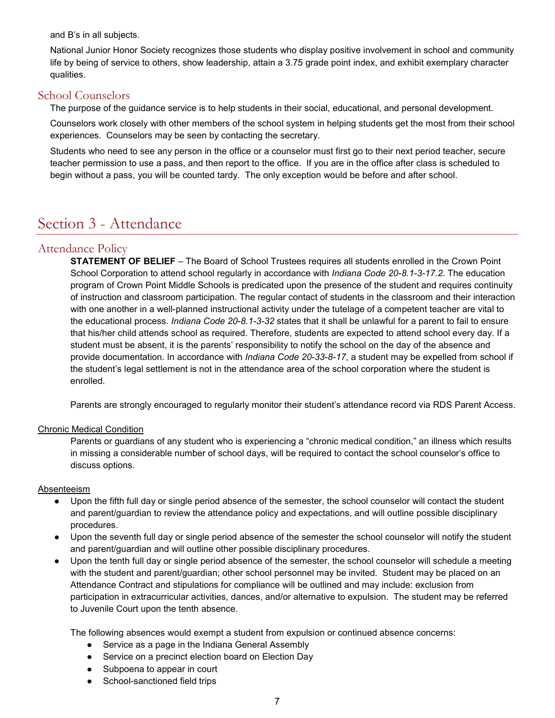and B's in all subjects.

National Junior Honor Society recognizes those students who display positive involvement in school and community life by being of service to others, show leadership, attain a 3.75 grade point index, and exhibit exemplary character qualities.

# <span id="page-6-0"></span>School Counselors

The purpose of the guidance service is to help students in their social, educational, and personal development.

Counselors work closely with other members of the school system in helping students get the most from their school experiences. Counselors may be seen by contacting the secretary.

Students who need to see any person in the office or a counselor must first go to their next period teacher, secure teacher permission to use a pass, and then report to the office. If you are in the office after class is scheduled to begin without a pass, you will be counted tardy. The only exception would be before and after school.

# <span id="page-6-1"></span>Section 3 - Attendance

# <span id="page-6-2"></span>Attendance Policy

**STATEMENT OF BELIEF** – The Board of School Trustees requires all students enrolled in the Crown Point School Corporation to attend school regularly in accordance with *Indiana Code 20-8.1-3-17.2*. The education program of Crown Point Middle Schools is predicated upon the presence of the student and requires continuity of instruction and classroom participation. The regular contact of students in the classroom and their interaction with one another in a well-planned instructional activity under the tutelage of a competent teacher are vital to the educational process. *Indiana Code 20-8.1-3-32* states that it shall be unlawful for a parent to fail to ensure that his/her child attends school as required. Therefore, students are expected to attend school every day. If a student must be absent, it is the parents' responsibility to notify the school on the day of the absence and provide documentation. In accordance with *Indiana Code 20-33-8-17*, a student may be expelled from school if the student's legal settlement is not in the attendance area of the school corporation where the student is enrolled.

Parents are strongly encouraged to regularly monitor their student's attendance record via RDS Parent Access.

# Chronic Medical Condition

Parents or guardians of any student who is experiencing a "chronic medical condition," an illness which results in missing a considerable number of school days, will be required to contact the school counselor's office to discuss options.

# Absenteeism

- Upon the fifth full day or single period absence of the semester, the school counselor will contact the student and parent/guardian to review the attendance policy and expectations, and will outline possible disciplinary procedures.
- Upon the seventh full day or single period absence of the semester the school counselor will notify the student and parent/guardian and will outline other possible disciplinary procedures.
- Upon the tenth full day or single period absence of the semester, the school counselor will schedule a meeting with the student and parent/guardian; other school personnel may be invited. Student may be placed on an Attendance Contract and stipulations for compliance will be outlined and may include: exclusion from participation in extracurricular activities, dances, and/or alternative to expulsion. The student may be referred to Juvenile Court upon the tenth absence.

The following absences would exempt a student from expulsion or continued absence concerns:

- Service as a page in the Indiana General Assembly
- Service on a precinct election board on Election Day
- Subpoena to appear in court
- School-sanctioned field trips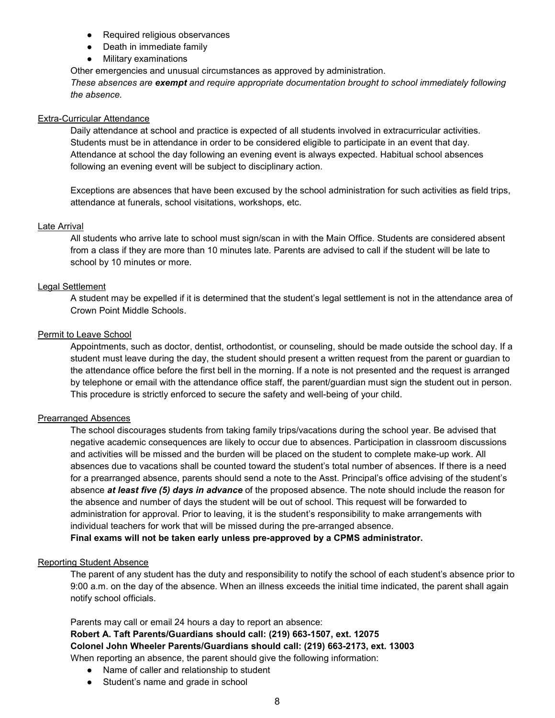- Required religious observances
- Death in immediate family
- Military examinations

Other emergencies and unusual circumstances as approved by administration.

*These absences are exempt and require appropriate documentation brought to school immediately following the absence.*

### Extra-Curricular Attendance

Daily attendance at school and practice is expected of all students involved in extracurricular activities. Students must be in attendance in order to be considered eligible to participate in an event that day. Attendance at school the day following an evening event is always expected. Habitual school absences following an evening event will be subject to disciplinary action.

Exceptions are absences that have been excused by the school administration for such activities as field trips, attendance at funerals, school visitations, workshops, etc.

### Late Arrival

All students who arrive late to school must sign/scan in with the Main Office. Students are considered absent from a class if they are more than 10 minutes late. Parents are advised to call if the student will be late to school by 10 minutes or more.

### Legal Settlement

A student may be expelled if it is determined that the student's legal settlement is not in the attendance area of Crown Point Middle Schools.

### Permit to Leave School

Appointments, such as doctor, dentist, orthodontist, or counseling, should be made outside the school day. If a student must leave during the day, the student should present a written request from the parent or guardian to the attendance office before the first bell in the morning. If a note is not presented and the request is arranged by telephone or email with the attendance office staff, the parent/guardian must sign the student out in person. This procedure is strictly enforced to secure the safety and well-being of your child.

### Prearranged Absences

The school discourages students from taking family trips/vacations during the school year. Be advised that negative academic consequences are likely to occur due to absences. Participation in classroom discussions and activities will be missed and the burden will be placed on the student to complete make-up work. All absences due to vacations shall be counted toward the student's total number of absences. If there is a need for a prearranged absence, parents should send a note to the Asst. Principal's office advising of the student's absence *at least five (5) days in advance* of the proposed absence. The note should include the reason for the absence and number of days the student will be out of school. This request will be forwarded to administration for approval. Prior to leaving, it is the student's responsibility to make arrangements with individual teachers for work that will be missed during the pre-arranged absence.

**Final exams will not be taken early unless pre-approved by a CPMS administrator.**

### Reporting Student Absence

The parent of any student has the duty and responsibility to notify the school of each student's absence prior to 9:00 a.m. on the day of the absence. When an illness exceeds the initial time indicated, the parent shall again notify school officials.

Parents may call or email 24 hours a day to report an absence: **Robert A. Taft Parents/Guardians should call: (219) 663-1507, ext. 12075 Colonel John Wheeler Parents/Guardians should call: (219) 663-2173, ext. 13003**  When reporting an absence, the parent should give the following information:

- Name of caller and relationship to student
- Student's name and grade in school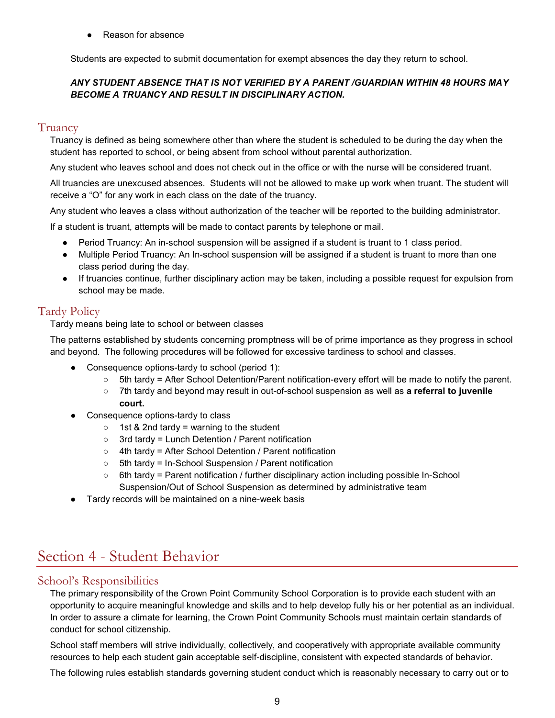**Reason for absence** 

Students are expected to submit documentation for exempt absences the day they return to school.

# *ANY STUDENT ABSENCE THAT IS NOT VERIFIED BY A PARENT /GUARDIAN WITHIN 48 HOURS MAY BECOME A TRUANCY AND RESULT IN DISCIPLINARY ACTION.*

# <span id="page-8-0"></span>Truancy

Truancy is defined as being somewhere other than where the student is scheduled to be during the day when the student has reported to school, or being absent from school without parental authorization.

Any student who leaves school and does not check out in the office or with the nurse will be considered truant.

All truancies are unexcused absences. Students will not be allowed to make up work when truant. The student will receive a "O" for any work in each class on the date of the truancy.

Any student who leaves a class without authorization of the teacher will be reported to the building administrator.

If a student is truant, attempts will be made to contact parents by telephone or mail.

- Period Truancy: An in-school suspension will be assigned if a student is truant to 1 class period.
- Multiple Period Truancy: An In-school suspension will be assigned if a student is truant to more than one class period during the day.
- If truancies continue, further disciplinary action may be taken, including a possible request for expulsion from school may be made.

# <span id="page-8-1"></span>Tardy Policy

Tardy means being late to school or between classes

The patterns established by students concerning promptness will be of prime importance as they progress in school and beyond. The following procedures will be followed for excessive tardiness to school and classes.

- Consequence options-tardy to school (period 1):
	- 5th tardy = After School Detention/Parent notification-every effort will be made to notify the parent.
	- 7th tardy and beyond may result in out-of-school suspension as well as **a referral to juvenile court.**
- Consequence options-tardy to class
	- $\circ$  1st & 2nd tardy = warning to the student
	- 3rd tardy = Lunch Detention / Parent notification
	- 4th tardy = After School Detention / Parent notification
	- 5th tardy = In-School Suspension / Parent notification
	- $\circ$  6th tardy = Parent notification / further disciplinary action including possible In-School Suspension/Out of School Suspension as determined by administrative team
- Tardy records will be maintained on a nine-week basis

# <span id="page-8-2"></span>Section 4 - Student Behavior

# <span id="page-8-3"></span>School's Responsibilities

The primary responsibility of the Crown Point Community School Corporation is to provide each student with an opportunity to acquire meaningful knowledge and skills and to help develop fully his or her potential as an individual. In order to assure a climate for learning, the Crown Point Community Schools must maintain certain standards of conduct for school citizenship.

School staff members will strive individually, collectively, and cooperatively with appropriate available community resources to help each student gain acceptable self-discipline, consistent with expected standards of behavior.

The following rules establish standards governing student conduct which is reasonably necessary to carry out or to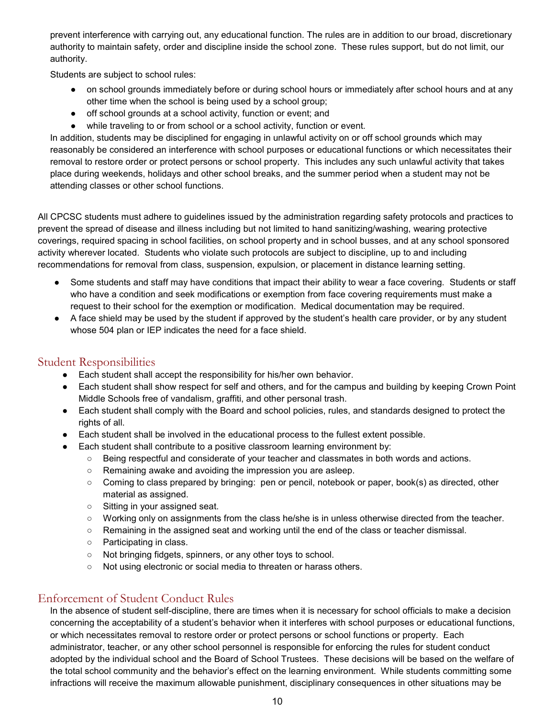prevent interference with carrying out, any educational function. The rules are in addition to our broad, discretionary authority to maintain safety, order and discipline inside the school zone. These rules support, but do not limit, our authority.

Students are subject to school rules:

- on school grounds immediately before or during school hours or immediately after school hours and at any other time when the school is being used by a school group;
- off school grounds at a school activity, function or event; and
- while traveling to or from school or a school activity, function or event.

In addition, students may be disciplined for engaging in unlawful activity on or off school grounds which may reasonably be considered an interference with school purposes or educational functions or which necessitates their removal to restore order or protect persons or school property. This includes any such unlawful activity that takes place during weekends, holidays and other school breaks, and the summer period when a student may not be attending classes or other school functions.

All CPCSC students must adhere to guidelines issued by the administration regarding safety protocols and practices to prevent the spread of disease and illness including but not limited to hand sanitizing/washing, wearing protective coverings, required spacing in school facilities, on school property and in school busses, and at any school sponsored activity wherever located. Students who violate such protocols are subject to discipline, up to and including recommendations for removal from class, suspension, expulsion, or placement in distance learning setting.

- Some students and staff may have conditions that impact their ability to wear a face covering. Students or staff who have a condition and seek modifications or exemption from face covering requirements must make a request to their school for the exemption or modification. Medical documentation may be required.
- A face shield may be used by the student if approved by the student's health care provider, or by any student whose 504 plan or IEP indicates the need for a face shield.

# <span id="page-9-0"></span>Student Responsibilities

- Each student shall accept the responsibility for his/her own behavior.
- Each student shall show respect for self and others, and for the campus and building by keeping Crown Point Middle Schools free of vandalism, graffiti, and other personal trash.
- Each student shall comply with the Board and school policies, rules, and standards designed to protect the rights of all.
- Each student shall be involved in the educational process to the fullest extent possible.
- Each student shall contribute to a positive classroom learning environment by:
	- Being respectful and considerate of your teacher and classmates in both words and actions.
	- Remaining awake and avoiding the impression you are asleep.
	- Coming to class prepared by bringing: pen or pencil, notebook or paper, book(s) as directed, other material as assigned.
	- Sitting in your assigned seat.
	- Working only on assignments from the class he/she is in unless otherwise directed from the teacher.
	- Remaining in the assigned seat and working until the end of the class or teacher dismissal.
	- Participating in class.
	- Not bringing fidgets, spinners, or any other toys to school.
	- Not using electronic or social media to threaten or harass others.

# <span id="page-9-1"></span>Enforcement of Student Conduct Rules

In the absence of student self-discipline, there are times when it is necessary for school officials to make a decision concerning the acceptability of a student's behavior when it interferes with school purposes or educational functions, or which necessitates removal to restore order or protect persons or school functions or property. Each administrator, teacher, or any other school personnel is responsible for enforcing the rules for student conduct adopted by the individual school and the Board of School Trustees. These decisions will be based on the welfare of the total school community and the behavior's effect on the learning environment. While students committing some infractions will receive the maximum allowable punishment, disciplinary consequences in other situations may be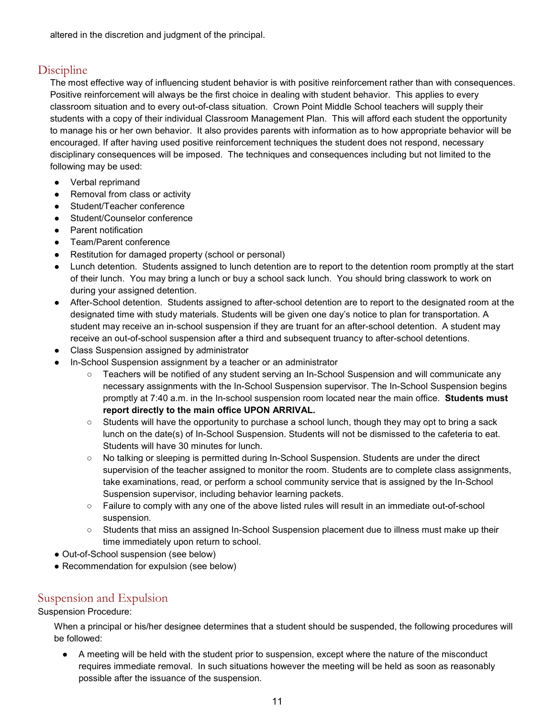altered in the discretion and judgment of the principal.

# <span id="page-10-0"></span>Discipline

The most effective way of influencing student behavior is with positive reinforcement rather than with consequences. Positive reinforcement will always be the first choice in dealing with student behavior. This applies to every classroom situation and to every out-of-class situation. Crown Point Middle School teachers will supply their students with a copy of their individual Classroom Management Plan. This will afford each student the opportunity to manage his or her own behavior. It also provides parents with information as to how appropriate behavior will be encouraged. If after having used positive reinforcement techniques the student does not respond, necessary disciplinary consequences will be imposed. The techniques and consequences including but not limited to the following may be used:

- Verbal reprimand
- Removal from class or activity
- Student/Teacher conference
- Student/Counselor conference
- Parent notification
- Team/Parent conference
- Restitution for damaged property (school or personal)
- Lunch detention. Students assigned to lunch detention are to report to the detention room promptly at the start of their lunch. You may bring a lunch or buy a school sack lunch. You should bring classwork to work on during your assigned detention.
- After-School detention. Students assigned to after-school detention are to report to the designated room at the designated time with study materials. Students will be given one day's notice to plan for transportation. A student may receive an in-school suspension if they are truant for an after-school detention. A student may receive an out-of-school suspension after a third and subsequent truancy to after-school detentions.
- Class Suspension assigned by administrator
- In-School Suspension assignment by a teacher or an administrator
	- Teachers will be notified of any student serving an In-School Suspension and will communicate any necessary assignments with the In-School Suspension supervisor. The In-School Suspension begins promptly at 7:40 a.m. in the In-school suspension room located near the main office. **Students must report directly to the main office UPON ARRIVAL.**
	- Students will have the opportunity to purchase a school lunch, though they may opt to bring a sack lunch on the date(s) of In-School Suspension. Students will not be dismissed to the cafeteria to eat. Students will have 30 minutes for lunch.
	- No talking or sleeping is permitted during In-School Suspension. Students are under the direct supervision of the teacher assigned to monitor the room. Students are to complete class assignments, take examinations, read, or perform a school community service that is assigned by the In-School Suspension supervisor, including behavior learning packets.
	- Failure to comply with any one of the above listed rules will result in an immediate out-of-school suspension.
	- Students that miss an assigned In-School Suspension placement due to illness must make up their time immediately upon return to school.
- Out-of-School suspension (see below)
- Recommendation for expulsion (see below)

# <span id="page-10-1"></span>Suspension and Expulsion

Suspension Procedure:

When a principal or his/her designee determines that a student should be suspended, the following procedures will be followed:

● A meeting will be held with the student prior to suspension, except where the nature of the misconduct requires immediate removal. In such situations however the meeting will be held as soon as reasonably possible after the issuance of the suspension.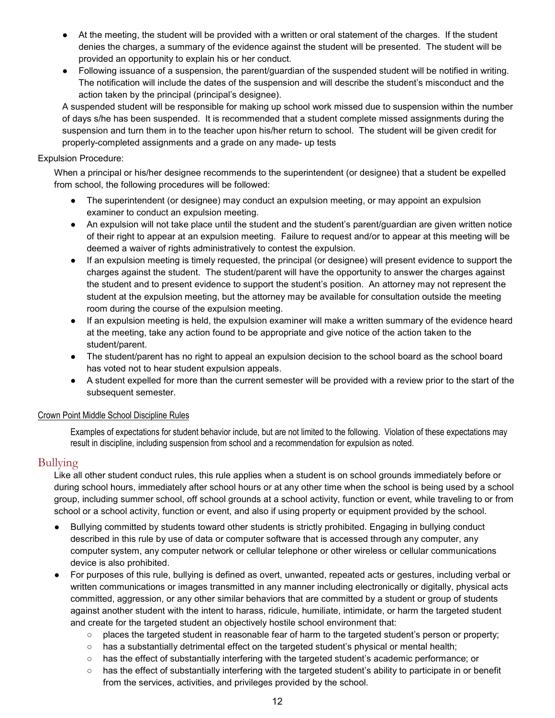- At the meeting, the student will be provided with a written or oral statement of the charges. If the student denies the charges, a summary of the evidence against the student will be presented. The student will be provided an opportunity to explain his or her conduct.
- Following issuance of a suspension, the parent/guardian of the suspended student will be notified in writing. The notification will include the dates of the suspension and will describe the student's misconduct and the action taken by the principal (principal's designee).

A suspended student will be responsible for making up school work missed due to suspension within the number of days s/he has been suspended. It is recommended that a student complete missed assignments during the suspension and turn them in to the teacher upon his/her return to school. The student will be given credit for properly-completed assignments and a grade on any made- up tests

### Expulsion Procedure:

When a principal or his/her designee recommends to the superintendent (or designee) that a student be expelled from school, the following procedures will be followed:

- The superintendent (or designee) may conduct an expulsion meeting, or may appoint an expulsion examiner to conduct an expulsion meeting.
- An expulsion will not take place until the student and the student's parent/guardian are given written notice of their right to appear at an expulsion meeting. Failure to request and/or to appear at this meeting will be deemed a waiver of rights administratively to contest the expulsion.
- If an expulsion meeting is timely requested, the principal (or designee) will present evidence to support the charges against the student. The student/parent will have the opportunity to answer the charges against the student and to present evidence to support the student's position. An attorney may not represent the student at the expulsion meeting, but the attorney may be available for consultation outside the meeting room during the course of the expulsion meeting.
- If an expulsion meeting is held, the expulsion examiner will make a written summary of the evidence heard at the meeting, take any action found to be appropriate and give notice of the action taken to the student/parent.
- The student/parent has no right to appeal an expulsion decision to the school board as the school board has voted not to hear student expulsion appeals.
- A student expelled for more than the current semester will be provided with a review prior to the start of the subsequent semester.

### Crown Point Middle School Discipline Rules

Examples of expectations for student behavior include, but are not limited to the following. Violation of these expectations may result in discipline, including suspension from school and a recommendation for expulsion as noted.

# <span id="page-11-0"></span>Bullying

Like all other student conduct rules, this rule applies when a student is on school grounds immediately before or during school hours, immediately after school hours or at any other time when the school is being used by a school group, including summer school, off school grounds at a school activity, function or event, while traveling to or from school or a school activity, function or event, and also if using property or equipment provided by the school.

- Bullying committed by students toward other students is strictly prohibited. Engaging in bullying conduct described in this rule by use of data or computer software that is accessed through any computer, any computer system, any computer network or cellular telephone or other wireless or cellular communications device is also prohibited.
- For purposes of this rule, bullying is defined as overt, unwanted, repeated acts or gestures, including verbal or written communications or images transmitted in any manner including electronically or digitally, physical acts committed, aggression, or any other similar behaviors that are committed by a student or group of students against another student with the intent to harass, ridicule, humiliate, intimidate, or harm the targeted student and create for the targeted student an objectively hostile school environment that:
	- places the targeted student in reasonable fear of harm to the targeted student's person or property;
	- has a substantially detrimental effect on the targeted student's physical or mental health;
	- has the effect of substantially interfering with the targeted student's academic performance; or
	- has the effect of substantially interfering with the targeted student's ability to participate in or benefit from the services, activities, and privileges provided by the school.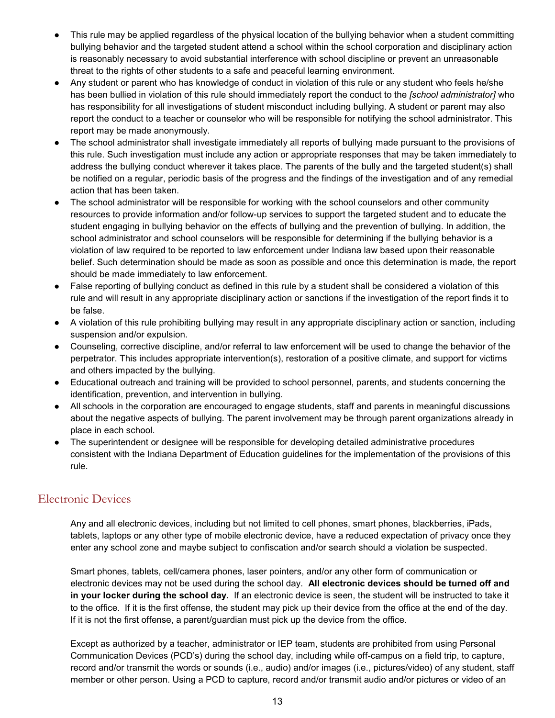- This rule may be applied regardless of the physical location of the bullying behavior when a student committing bullying behavior and the targeted student attend a school within the school corporation and disciplinary action is reasonably necessary to avoid substantial interference with school discipline or prevent an unreasonable threat to the rights of other students to a safe and peaceful learning environment.
- Any student or parent who has knowledge of conduct in violation of this rule or any student who feels he/she has been bullied in violation of this rule should immediately report the conduct to the *[school administrator]* who has responsibility for all investigations of student misconduct including bullying. A student or parent may also report the conduct to a teacher or counselor who will be responsible for notifying the school administrator. This report may be made anonymously.
- The school administrator shall investigate immediately all reports of bullying made pursuant to the provisions of this rule. Such investigation must include any action or appropriate responses that may be taken immediately to address the bullying conduct wherever it takes place. The parents of the bully and the targeted student(s) shall be notified on a regular, periodic basis of the progress and the findings of the investigation and of any remedial action that has been taken.
- The school administrator will be responsible for working with the school counselors and other community resources to provide information and/or follow-up services to support the targeted student and to educate the student engaging in bullying behavior on the effects of bullying and the prevention of bullying. In addition, the school administrator and school counselors will be responsible for determining if the bullying behavior is a violation of law required to be reported to law enforcement under Indiana law based upon their reasonable belief. Such determination should be made as soon as possible and once this determination is made, the report should be made immediately to law enforcement.
- False reporting of bullying conduct as defined in this rule by a student shall be considered a violation of this rule and will result in any appropriate disciplinary action or sanctions if the investigation of the report finds it to be false.
- A violation of this rule prohibiting bullying may result in any appropriate disciplinary action or sanction, including suspension and/or expulsion.
- Counseling, corrective discipline, and/or referral to law enforcement will be used to change the behavior of the perpetrator. This includes appropriate intervention(s), restoration of a positive climate, and support for victims and others impacted by the bullying.
- Educational outreach and training will be provided to school personnel, parents, and students concerning the identification, prevention, and intervention in bullying.
- All schools in the corporation are encouraged to engage students, staff and parents in meaningful discussions about the negative aspects of bullying. The parent involvement may be through parent organizations already in place in each school.
- The superintendent or designee will be responsible for developing detailed administrative procedures consistent with the Indiana Department of Education guidelines for the implementation of the provisions of this rule.

# <span id="page-12-0"></span>Electronic Devices

Any and all electronic devices, including but not limited to cell phones, smart phones, blackberries, iPads, tablets, laptops or any other type of mobile electronic device, have a reduced expectation of privacy once they enter any school zone and maybe subject to confiscation and/or search should a violation be suspected.

Smart phones, tablets, cell/camera phones, laser pointers, and/or any other form of communication or electronic devices may not be used during the school day. **All electronic devices should be turned off and in your locker during the school day.** If an electronic device is seen, the student will be instructed to take it to the office. If it is the first offense, the student may pick up their device from the office at the end of the day. If it is not the first offense, a parent/guardian must pick up the device from the office.

Except as authorized by a teacher, administrator or IEP team, students are prohibited from using Personal Communication Devices (PCD's) during the school day, including while off-campus on a field trip, to capture, record and/or transmit the words or sounds (i.e., audio) and/or images (i.e., pictures/video) of any student, staff member or other person. Using a PCD to capture, record and/or transmit audio and/or pictures or video of an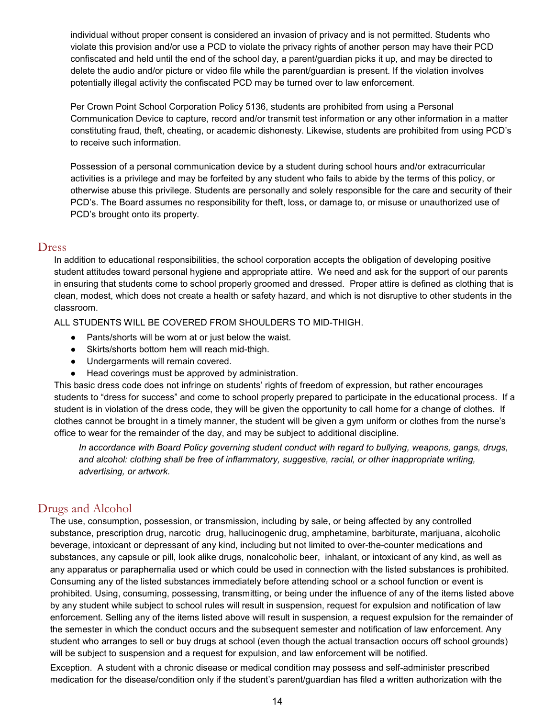individual without proper consent is considered an invasion of privacy and is not permitted. Students who violate this provision and/or use a PCD to violate the privacy rights of another person may have their PCD confiscated and held until the end of the school day, a parent/guardian picks it up, and may be directed to delete the audio and/or picture or video file while the parent/guardian is present. If the violation involves potentially illegal activity the confiscated PCD may be turned over to law enforcement.

Per Crown Point School Corporation Policy 5136, students are prohibited from using a Personal Communication Device to capture, record and/or transmit test information or any other information in a matter constituting fraud, theft, cheating, or academic dishonesty. Likewise, students are prohibited from using PCD's to receive such information.

Possession of a personal communication device by a student during school hours and/or extracurricular activities is a privilege and may be forfeited by any student who fails to abide by the terms of this policy, or otherwise abuse this privilege. Students are personally and solely responsible for the care and security of their PCD's. The Board assumes no responsibility for theft, loss, or damage to, or misuse or unauthorized use of PCD's brought onto its property.

### <span id="page-13-0"></span>Dress

In addition to educational responsibilities, the school corporation accepts the obligation of developing positive student attitudes toward personal hygiene and appropriate attire. We need and ask for the support of our parents in ensuring that students come to school properly groomed and dressed. Proper attire is defined as clothing that is clean, modest, which does not create a health or safety hazard, and which is not disruptive to other students in the classroom.

ALL STUDENTS WILL BE COVERED FROM SHOULDERS TO MID-THIGH.

- Pants/shorts will be worn at or just below the waist.
- Skirts/shorts bottom hem will reach mid-thigh.
- Undergarments will remain covered.
- Head coverings must be approved by administration.

This basic dress code does not infringe on students' rights of freedom of expression, but rather encourages students to "dress for success" and come to school properly prepared to participate in the educational process. If a student is in violation of the dress code, they will be given the opportunity to call home for a change of clothes. If clothes cannot be brought in a timely manner, the student will be given a gym uniform or clothes from the nurse's office to wear for the remainder of the day, and may be subject to additional discipline.

*In accordance with Board Policy governing student conduct with regard to bullying, weapons, gangs, drugs, and alcohol: clothing shall be free of inflammatory, suggestive, racial, or other inappropriate writing, advertising, or artwork.* 

# <span id="page-13-1"></span>Drugs and Alcohol

The use, consumption, possession, or transmission, including by sale, or being affected by any controlled substance, prescription drug, narcotic drug, hallucinogenic drug, amphetamine, barbiturate, marijuana, alcoholic beverage, intoxicant or depressant of any kind, including but not limited to over-the-counter medications and substances, any capsule or pill, look alike drugs, nonalcoholic beer, inhalant, or intoxicant of any kind, as well as any apparatus or paraphernalia used or which could be used in connection with the listed substances is prohibited. Consuming any of the listed substances immediately before attending school or a school function or event is prohibited. Using, consuming, possessing, transmitting, or being under the influence of any of the items listed above by any student while subject to school rules will result in suspension, request for expulsion and notification of law enforcement. Selling any of the items listed above will result in suspension, a request expulsion for the remainder of the semester in which the conduct occurs and the subsequent semester and notification of law enforcement. Any student who arranges to sell or buy drugs at school (even though the actual transaction occurs off school grounds) will be subject to suspension and a request for expulsion, and law enforcement will be notified.

Exception. A student with a chronic disease or medical condition may possess and self-administer prescribed medication for the disease/condition only if the student's parent/guardian has filed a written authorization with the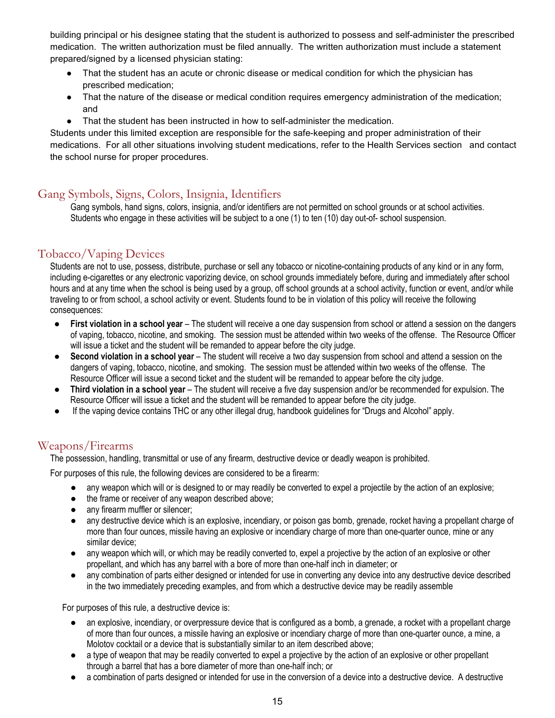building principal or his designee stating that the student is authorized to possess and self-administer the prescribed medication. The written authorization must be filed annually. The written authorization must include a statement prepared/signed by a licensed physician stating:

- That the student has an acute or chronic disease or medical condition for which the physician has prescribed medication;
- That the nature of the disease or medical condition requires emergency administration of the medication; and
- That the student has been instructed in how to self-administer the medication.

Students under this limited exception are responsible for the safe-keeping and proper administration of their medications. For all other situations involving student medications, refer to the Health Services section and contact the school nurse for proper procedures.

# <span id="page-14-0"></span>Gang Symbols, Signs, Colors, Insignia, Identifiers

Gang symbols, hand signs, colors, insignia, and/or identifiers are not permitted on school grounds or at school activities. Students who engage in these activities will be subject to a one (1) to ten (10) day out-of- school suspension.

# <span id="page-14-1"></span>Tobacco/Vaping Devices

Students are not to use, possess, distribute, purchase or sell any tobacco or nicotine-containing products of any kind or in any form, including e-cigarettes or any electronic vaporizing device, on school grounds immediately before, during and immediately after school hours and at any time when the school is being used by a group, off school grounds at a school activity, function or event, and/or while traveling to or from school, a school activity or event. Students found to be in violation of this policy will receive the following consequences:

- **First violation in a school year** The student will receive a one day suspension from school or attend a session on the dangers of vaping, tobacco, nicotine, and smoking. The session must be attended within two weeks of the offense. The Resource Officer will issue a ticket and the student will be remanded to appear before the city judge.
- **Second violation in a school year** The student will receive a two day suspension from school and attend a session on the dangers of vaping, tobacco, nicotine, and smoking. The session must be attended within two weeks of the offense. The Resource Officer will issue a second ticket and the student will be remanded to appear before the city judge.
- **Third violation in a school year**  The student will receive a five day suspension and/or be recommended for expulsion. The Resource Officer will issue a ticket and the student will be remanded to appear before the city judge.
- If the vaping device contains THC or any other illegal drug, handbook guidelines for "Drugs and Alcohol" apply.

# <span id="page-14-2"></span>Weapons/Firearms

The possession, handling, transmittal or use of any firearm, destructive device or deadly weapon is prohibited.

For purposes of this rule, the following devices are considered to be a firearm:

- any weapon which will or is designed to or may readily be converted to expel a projectile by the action of an explosive;
- the frame or receiver of any weapon described above;
- any firearm muffler or silencer;
- any destructive device which is an explosive, incendiary, or poison gas bomb, grenade, rocket having a propellant charge of more than four ounces, missile having an explosive or incendiary charge of more than one-quarter ounce, mine or any similar device;
- any weapon which will, or which may be readily converted to, expel a projective by the action of an explosive or other propellant, and which has any barrel with a bore of more than one-half inch in diameter; or
- any combination of parts either designed or intended for use in converting any device into any destructive device described in the two immediately preceding examples, and from which a destructive device may be readily assemble

For purposes of this rule, a destructive device is:

- an explosive, incendiary, or overpressure device that is configured as a bomb, a grenade, a rocket with a propellant charge of more than four ounces, a missile having an explosive or incendiary charge of more than one-quarter ounce, a mine, a Molotov cocktail or a device that is substantially similar to an item described above;
- a type of weapon that may be readily converted to expel a projective by the action of an explosive or other propellant through a barrel that has a bore diameter of more than one-half inch; or
- a combination of parts designed or intended for use in the conversion of a device into a destructive device. A destructive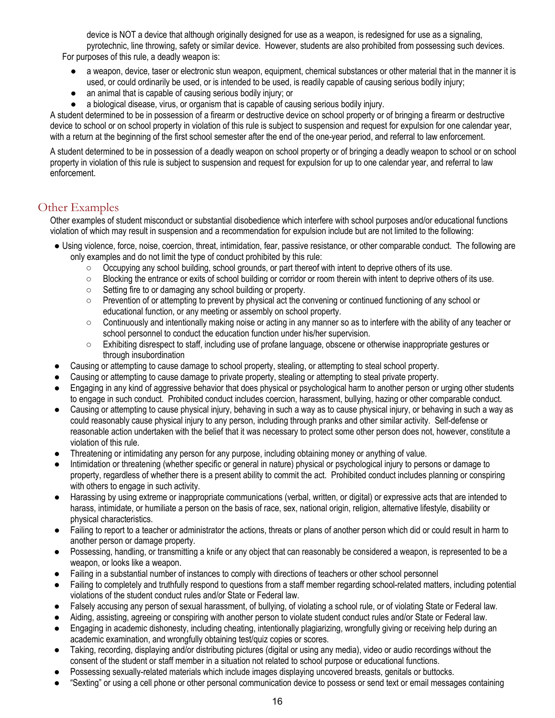device is NOT a device that although originally designed for use as a weapon, is redesigned for use as a signaling, pyrotechnic, line throwing, safety or similar device. However, students are also prohibited from possessing such devices. For purposes of this rule, a deadly weapon is:

- a weapon, device, taser or electronic stun weapon, equipment, chemical substances or other material that in the manner it is used, or could ordinarily be used, or is intended to be used, is readily capable of causing serious bodily injury;
- an animal that is capable of causing serious bodily injury; or
- a biological disease, virus, or organism that is capable of causing serious bodily injury.

A student determined to be in possession of a firearm or destructive device on school property or of bringing a firearm or destructive device to school or on school property in violation of this rule is subject to suspension and request for expulsion for one calendar year, with a return at the beginning of the first school semester after the end of the one-year period, and referral to law enforcement.

A student determined to be in possession of a deadly weapon on school property or of bringing a deadly weapon to school or on school property in violation of this rule is subject to suspension and request for expulsion for up to one calendar year, and referral to law enforcement.

# <span id="page-15-0"></span>Other Examples

Other examples of student misconduct or substantial disobedience which interfere with school purposes and/or educational functions violation of which may result in suspension and a recommendation for expulsion include but are not limited to the following:

- Using violence, force, noise, coercion, threat, intimidation, fear, passive resistance, or other comparable conduct. The following are only examples and do not limit the type of conduct prohibited by this rule:
	- Occupying any school building, school grounds, or part thereof with intent to deprive others of its use.
	- Blocking the entrance or exits of school building or corridor or room therein with intent to deprive others of its use.
	- Setting fire to or damaging any school building or property.
	- Prevention of or attempting to prevent by physical act the convening or continued functioning of any school or educational function, or any meeting or assembly on school property.
	- $\circ$  Continuously and intentionally making noise or acting in any manner so as to interfere with the ability of any teacher or school personnel to conduct the education function under his/her supervision.
	- Exhibiting disrespect to staff, including use of profane language, obscene or otherwise inappropriate gestures or through insubordination
- Causing or attempting to cause damage to school property, stealing, or attempting to steal school property.
- Causing or attempting to cause damage to private property, stealing or attempting to steal private property.
- Engaging in any kind of aggressive behavior that does physical or psychological harm to another person or urging other students to engage in such conduct. Prohibited conduct includes coercion, harassment, bullying, hazing or other comparable conduct.
- Causing or attempting to cause physical injury, behaving in such a way as to cause physical injury, or behaving in such a way as could reasonably cause physical injury to any person, including through pranks and other similar activity. Self-defense or reasonable action undertaken with the belief that it was necessary to protect some other person does not, however, constitute a violation of this rule.
- Threatening or intimidating any person for any purpose, including obtaining money or anything of value.
- Intimidation or threatening (whether specific or general in nature) physical or psychological injury to persons or damage to property, regardless of whether there is a present ability to commit the act. Prohibited conduct includes planning or conspiring with others to engage in such activity.
- Harassing by using extreme or inappropriate communications (verbal, written, or digital) or expressive acts that are intended to harass, intimidate, or humiliate a person on the basis of race, sex, national origin, religion, alternative lifestyle, disability or physical characteristics.
- Failing to report to a teacher or administrator the actions, threats or plans of another person which did or could result in harm to another person or damage property.
- Possessing, handling, or transmitting a knife or any object that can reasonably be considered a weapon, is represented to be a weapon, or looks like a weapon.
- Failing in a substantial number of instances to comply with directions of teachers or other school personnel
- Failing to completely and truthfully respond to questions from a staff member regarding school-related matters, including potential violations of the student conduct rules and/or State or Federal law.
- Falsely accusing any person of sexual harassment, of bullying, of violating a school rule, or of violating State or Federal law.
- Aiding, assisting, agreeing or conspiring with another person to violate student conduct rules and/or State or Federal law.
- Engaging in academic dishonesty, including cheating, intentionally plagiarizing, wrongfully giving or receiving help during an academic examination, and wrongfully obtaining test/quiz copies or scores.
- Taking, recording, displaying and/or distributing pictures (digital or using any media), video or audio recordings without the consent of the student or staff member in a situation not related to school purpose or educational functions.
- Possessing sexually-related materials which include images displaying uncovered breasts, genitals or buttocks.
- "Sexting" or using a cell phone or other personal communication device to possess or send text or email messages containing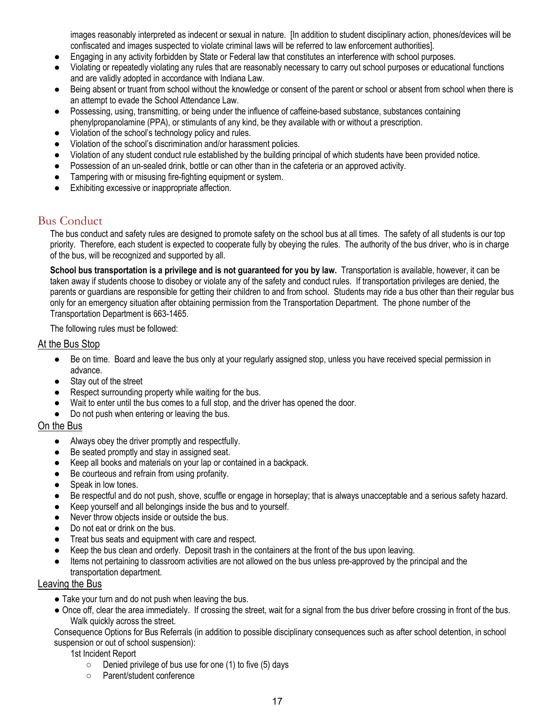images reasonably interpreted as indecent or sexual in nature. [In addition to student disciplinary action, phones/devices will be confiscated and images suspected to violate criminal laws will be referred to law enforcement authorities].

- Engaging in any activity forbidden by State or Federal law that constitutes an interference with school purposes.
- Violating or repeatedly violating any rules that are reasonably necessary to carry out school purposes or educational functions and are validly adopted in accordance with Indiana Law.
- Being absent or truant from school without the knowledge or consent of the parent or school or absent from school when there is an attempt to evade the School Attendance Law.
- Possessing, using, transmitting, or being under the influence of caffeine-based substance, substances containing phenylpropanolamine (PPA), or stimulants of any kind, be they available with or without a prescription.
- Violation of the school's technology policy and rules.
- Violation of the school's discrimination and/or harassment policies.
- Violation of any student conduct rule established by the building principal of which students have been provided notice.
- Possession of an un-sealed drink, bottle or can other than in the cafeteria or an approved activity.
- Tampering with or misusing fire-fighting equipment or system.
- Exhibiting excessive or inappropriate affection.

# <span id="page-16-0"></span>Bus Conduct

The bus conduct and safety rules are designed to promote safety on the school bus at all times. The safety of all students is our top priority. Therefore, each student is expected to cooperate fully by obeying the rules. The authority of the bus driver, who is in charge of the bus, will be recognized and supported by all.

**School bus transportation is a privilege and is not guaranteed for you by law.** Transportation is available, however, it can be taken away if students choose to disobey or violate any of the safety and conduct rules. If transportation privileges are denied, the parents or guardians are responsible for getting their children to and from school. Students may ride a bus other than their regular bus only for an emergency situation after obtaining permission from the Transportation Department. The phone number of the Transportation Department is 663-1465.

The following rules must be followed:

## At the Bus Stop

- Be on time. Board and leave the bus only at your regularly assigned stop, unless you have received special permission in advance.
- Stay out of the street
- Respect surrounding property while waiting for the bus.
- Wait to enter until the bus comes to a full stop, and the driver has opened the door.
- Do not push when entering or leaving the bus.

# On the Bus

- Always obey the driver promptly and respectfully.
- Be seated promptly and stay in assigned seat.
- Keep all books and materials on your lap or contained in a backpack.
- Be courteous and refrain from using profanity.
- Speak in low tones.
- Be respectful and do not push, shove, scuffle or engage in horseplay; that is always unacceptable and a serious safety hazard.
- Keep yourself and all belongings inside the bus and to yourself.
- Never throw objects inside or outside the bus.
- Do not eat or drink on the bus.
- Treat bus seats and equipment with care and respect.
- Keep the bus clean and orderly. Deposit trash in the containers at the front of the bus upon leaving.
- Items not pertaining to classroom activities are not allowed on the bus unless pre-approved by the principal and the transportation department.

# Leaving the Bus

- Take your turn and do not push when leaving the bus.
- Once off, clear the area immediately. If crossing the street, wait for a signal from the bus driver before crossing in front of the bus. Walk quickly across the street.

Consequence Options for Bus Referrals (in addition to possible disciplinary consequences such as after school detention, in school suspension or out of school suspension):

1st Incident Report

- Denied privilege of bus use for one (1) to five (5) days
- Parent/student conference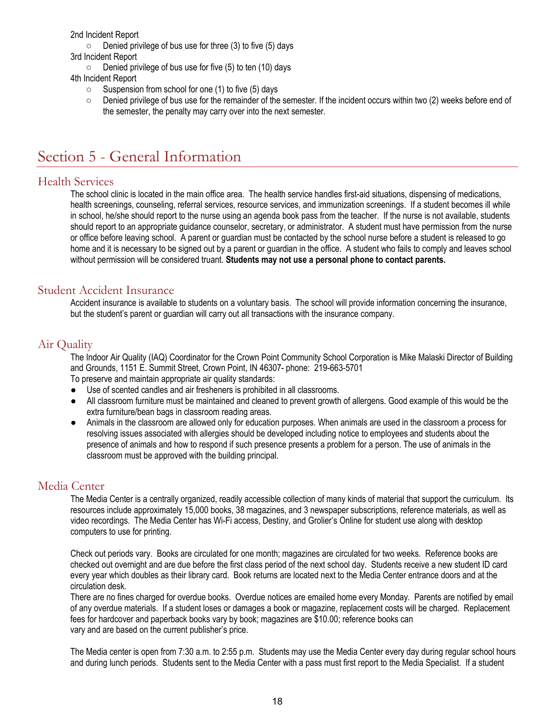2nd Incident Report

- $\circ$  Denied privilege of bus use for three (3) to five (5) days
- 3rd Incident Report
	- $\circ$  Denied privilege of bus use for five (5) to ten (10) days
- 4th Incident Report
	- Suspension from school for one (1) to five (5) days
	- $\circ$  Denied privilege of bus use for the remainder of the semester. If the incident occurs within two (2) weeks before end of the semester, the penalty may carry over into the next semester.

# <span id="page-17-0"></span>Section 5 - General Information

# <span id="page-17-1"></span>Health Services

The school clinic is located in the main office area. The health service handles first-aid situations, dispensing of medications, health screenings, counseling, referral services, resource services, and immunization screenings. If a student becomes ill while in school, he/she should report to the nurse using an agenda book pass from the teacher. If the nurse is not available, students should report to an appropriate guidance counselor, secretary, or administrator. A student must have permission from the nurse or office before leaving school. A parent or guardian must be contacted by the school nurse before a student is released to go home and it is necessary to be signed out by a parent or guardian in the office. A student who fails to comply and leaves school without permission will be considered truant. **Students may not use a personal phone to contact parents.**

# <span id="page-17-2"></span>Student Accident Insurance

Accident insurance is available to students on a voluntary basis. The school will provide information concerning the insurance, but the student's parent or guardian will carry out all transactions with the insurance company.

# <span id="page-17-3"></span>Air Quality

The Indoor Air Quality (IAQ) Coordinator for the Crown Point Community School Corporation is Mike Malaski Director of Building and Grounds, 1151 E. Summit Street, Crown Point, IN 46307- phone: 219-663-5701 To preserve and maintain appropriate air quality standards:

- Use of scented candles and air fresheners is prohibited in all classrooms.
- All classroom furniture must be maintained and cleaned to prevent growth of allergens. Good example of this would be the extra furniture/bean bags in classroom reading areas.
- Animals in the classroom are allowed only for education purposes. When animals are used in the classroom a process for resolving issues associated with allergies should be developed including notice to employees and students about the presence of animals and how to respond if such presence presents a problem for a person. The use of animals in the classroom must be approved with the building principal.

# <span id="page-17-4"></span>Media Center

The Media Center is a centrally organized, readily accessible collection of many kinds of material that support the curriculum. Its resources include approximately 15,000 books, 38 magazines, and 3 newspaper subscriptions, reference materials, as well as video recordings. The Media Center has Wi-Fi access, Destiny, and Grolier's Online for student use along with desktop computers to use for printing.

Check out periods vary. Books are circulated for one month; magazines are circulated for two weeks. Reference books are checked out overnight and are due before the first class period of the next school day. Students receive a new student ID card every year which doubles as their library card. Book returns are located next to the Media Center entrance doors and at the circulation desk.

There are no fines charged for overdue books. Overdue notices are emailed home every Monday. Parents are notified by email of any overdue materials. If a student loses or damages a book or magazine, replacement costs will be charged. Replacement fees for hardcover and paperback books vary by book; magazines are \$10.00; reference books can vary and are based on the current publisher's price.

The Media center is open from 7:30 a.m. to 2:55 p.m. Students may use the Media Center every day during regular school hours and during lunch periods. Students sent to the Media Center with a pass must first report to the Media Specialist. If a student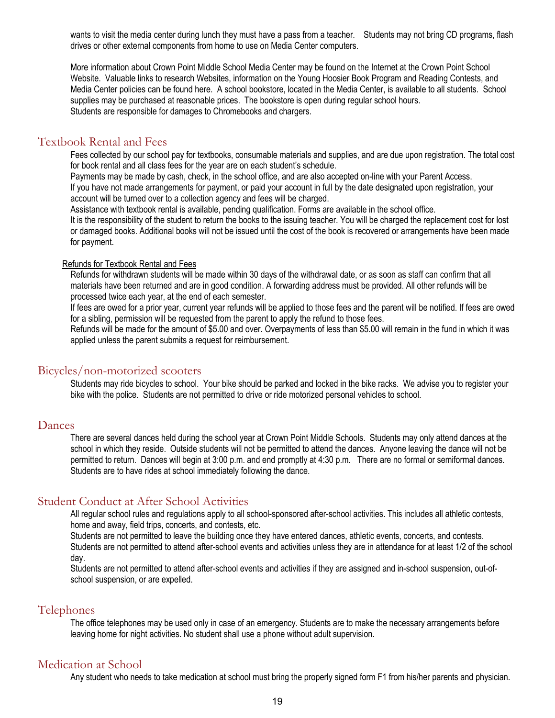wants to visit the media center during lunch they must have a pass from a teacher. Students may not bring CD programs, flash drives or other external components from home to use on Media Center computers.

More information about Crown Point Middle School Media Center may be found on the Internet at the Crown Point School Website. Valuable links to research Websites, information on the Young Hoosier Book Program and Reading Contests, and Media Center policies can be found here. A school bookstore, located in the Media Center, is available to all students. School supplies may be purchased at reasonable prices. The bookstore is open during regular school hours. Students are responsible for damages to Chromebooks and chargers.

## <span id="page-18-0"></span>Textbook Rental and Fees

Fees collected by our school pay for textbooks, consumable materials and supplies, and are due upon registration. The total cost for book rental and all class fees for the year are on each student's schedule.

Payments may be made by cash, check, in the school office, and are also accepted on-line with your Parent Access.

If you have not made arrangements for payment, or paid your account in full by the date designated upon registration, your account will be turned over to a collection agency and fees will be charged.

Assistance with textbook rental is available, pending qualification. Forms are available in the school office.

It is the responsibility of the student to return the books to the issuing teacher. You will be charged the replacement cost for lost or damaged books. Additional books will not be issued until the cost of the book is recovered or arrangements have been made for payment.

#### Refunds for Textbook Rental and Fees

Refunds for withdrawn students will be made within 30 days of the withdrawal date, or as soon as staff can confirm that all materials have been returned and are in good condition. A forwarding address must be provided. All other refunds will be processed twice each year, at the end of each semester.

If fees are owed for a prior year, current year refunds will be applied to those fees and the parent will be notified. If fees are owed for a sibling, permission will be requested from the parent to apply the refund to those fees.

Refunds will be made for the amount of \$5.00 and over. Overpayments of less than \$5.00 will remain in the fund in which it was applied unless the parent submits a request for reimbursement.

### <span id="page-18-1"></span>Bicycles/non-motorized scooters

Students may ride bicycles to school. Your bike should be parked and locked in the bike racks. We advise you to register your bike with the police. Students are not permitted to drive or ride motorized personal vehicles to school.

### <span id="page-18-2"></span>Dances

There are several dances held during the school year at Crown Point Middle Schools. Students may only attend dances at the school in which they reside. Outside students will not be permitted to attend the dances. Anyone leaving the dance will not be permitted to return. Dances will begin at 3:00 p.m. and end promptly at 4:30 p.m. There are no formal or semiformal dances. Students are to have rides at school immediately following the dance.

# <span id="page-18-3"></span>Student Conduct at After School Activities

All regular school rules and regulations apply to all school-sponsored after-school activities. This includes all athletic contests, home and away, field trips, concerts, and contests, etc.

Students are not permitted to leave the building once they have entered dances, athletic events, concerts, and contests. Students are not permitted to attend after-school events and activities unless they are in attendance for at least 1/2 of the school day.

Students are not permitted to attend after-school events and activities if they are assigned and in-school suspension, out-ofschool suspension, or are expelled.

# <span id="page-18-4"></span>Telephones

The office telephones may be used only in case of an emergency. Students are to make the necessary arrangements before leaving home for night activities. No student shall use a phone without adult supervision.

# <span id="page-18-5"></span>Medication at School

Any student who needs to take medication at school must bring the properly signed form F1 from his/her parents and physician.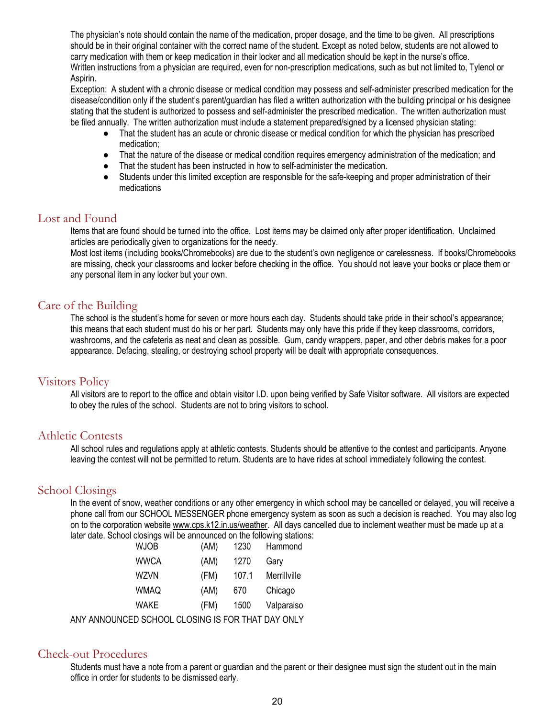The physician's note should contain the name of the medication, proper dosage, and the time to be given. All prescriptions should be in their original container with the correct name of the student. Except as noted below, students are not allowed to carry medication with them or keep medication in their locker and all medication should be kept in the nurse's office. Written instructions from a physician are required, even for non-prescription medications, such as but not limited to, Tylenol or Aspirin.

Exception: A student with a chronic disease or medical condition may possess and self-administer prescribed medication for the disease/condition only if the student's parent/guardian has filed a written authorization with the building principal or his designee stating that the student is authorized to possess and self-administer the prescribed medication. The written authorization must be filed annually. The written authorization must include a statement prepared/signed by a licensed physician stating:

- That the student has an acute or chronic disease or medical condition for which the physician has prescribed medication;
- That the nature of the disease or medical condition requires emergency administration of the medication; and
- That the student has been instructed in how to self-administer the medication.
- Students under this limited exception are responsible for the safe-keeping and proper administration of their medications

# <span id="page-19-0"></span>Lost and Found

Items that are found should be turned into the office. Lost items may be claimed only after proper identification. Unclaimed articles are periodically given to organizations for the needy.

Most lost items (including books/Chromebooks) are due to the student's own negligence or carelessness. If books/Chromebooks are missing, check your classrooms and locker before checking in the office. You should not leave your books or place them or any personal item in any locker but your own.

# <span id="page-19-1"></span>Care of the Building

The school is the student's home for seven or more hours each day. Students should take pride in their school's appearance; this means that each student must do his or her part. Students may only have this pride if they keep classrooms, corridors, washrooms, and the cafeteria as neat and clean as possible. Gum, candy wrappers, paper, and other debris makes for a poor appearance. Defacing, stealing, or destroying school property will be dealt with appropriate consequences.

# <span id="page-19-2"></span>Visitors Policy

All visitors are to report to the office and obtain visitor I.D. upon being verified by Safe Visitor software. All visitors are expected to obey the rules of the school. Students are not to bring visitors to school.

# <span id="page-19-3"></span>Athletic Contests

All school rules and regulations apply at athletic contests. Students should be attentive to the contest and participants. Anyone leaving the contest will not be permitted to return. Students are to have rides at school immediately following the contest.

# <span id="page-19-4"></span>School Closings

In the event of snow, weather conditions or any other emergency in which school may be cancelled or delayed, you will receive a phone call from our SCHOOL MESSENGER phone emergency system as soon as such a decision is reached. You may also log on to the corporation website www.cps.k12.in.us/weather. All days cancelled due to inclement weather must be made up at a later date. School closings will be announced on the following stations:

| <b>WJOB</b> | (AM) | 1230  | Hammond      |  |  |
|-------------|------|-------|--------------|--|--|
| <b>WWCA</b> | (AM) | 1270  | Gary         |  |  |
| <b>WZVN</b> | (FM) | 107.1 | Merrillville |  |  |
| <b>WMAQ</b> | (AM) | 670   | Chicago      |  |  |
| WAKE        | (FM) | 1500  | Valparaiso   |  |  |
| וממונמם חחמ |      |       |              |  |  |

ANY ANNOUNCED SCHOOL CLOSING IS FOR THAT DAY ONLY

# <span id="page-19-5"></span>Check-out Procedures

Students must have a note from a parent or guardian and the parent or their designee must sign the student out in the main office in order for students to be dismissed early.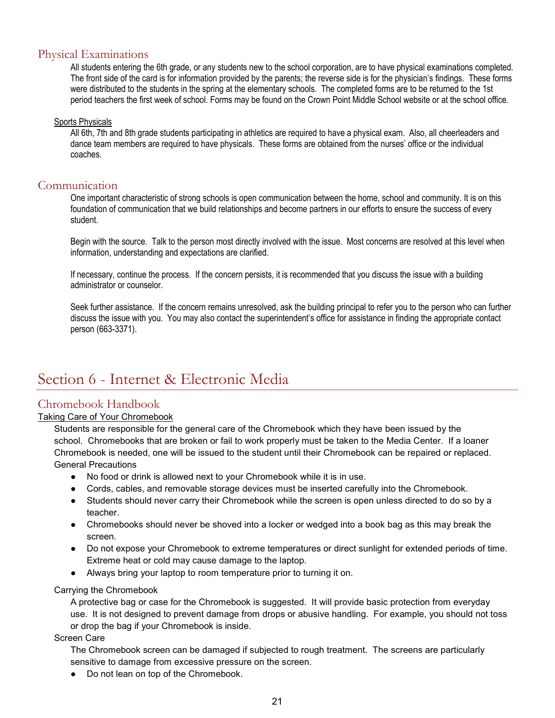# <span id="page-20-0"></span>Physical Examinations

All students entering the 6th grade, or any students new to the school corporation, are to have physical examinations completed. The front side of the card is for information provided by the parents; the reverse side is for the physician's findings. These forms were distributed to the students in the spring at the elementary schools. The completed forms are to be returned to the 1st period teachers the first week of school. Forms may be found on the Crown Point Middle School website or at the school office.

### Sports Physicals

All 6th, 7th and 8th grade students participating in athletics are required to have a physical exam. Also, all cheerleaders and dance team members are required to have physicals. These forms are obtained from the nurses' office or the individual coaches.

# <span id="page-20-1"></span>Communication

One important characteristic of strong schools is open communication between the home, school and community. It is on this foundation of communication that we build relationships and become partners in our efforts to ensure the success of every student.

Begin with the source. Talk to the person most directly involved with the issue. Most concerns are resolved at this level when information, understanding and expectations are clarified.

If necessary, continue the process. If the concern persists, it is recommended that you discuss the issue with a building administrator or counselor.

Seek further assistance. If the concern remains unresolved, ask the building principal to refer you to the person who can further discuss the issue with you. You may also contact the superintendent's office for assistance in finding the appropriate contact person (663-3371).

# <span id="page-20-2"></span>Section 6 - Internet & Electronic Media

# <span id="page-20-3"></span>Chromebook Handbook

### Taking Care of Your Chromebook

Students are responsible for the general care of the Chromebook which they have been issued by the school. Chromebooks that are broken or fail to work properly must be taken to the Media Center. If a loaner Chromebook is needed, one will be issued to the student until their Chromebook can be repaired or replaced. General Precautions

- No food or drink is allowed next to your Chromebook while it is in use.
- Cords, cables, and removable storage devices must be inserted carefully into the Chromebook.
- Students should never carry their Chromebook while the screen is open unless directed to do so by a teacher.
- Chromebooks should never be shoved into a locker or wedged into a book bag as this may break the screen.
- Do not expose your Chromebook to extreme temperatures or direct sunlight for extended periods of time. Extreme heat or cold may cause damage to the laptop.
- Always bring your laptop to room temperature prior to turning it on.

### Carrying the Chromebook

A protective bag or case for the Chromebook is suggested. It will provide basic protection from everyday use. It is not designed to prevent damage from drops or abusive handling. For example, you should not toss or drop the bag if your Chromebook is inside.

### Screen Care

The Chromebook screen can be damaged if subjected to rough treatment. The screens are particularly sensitive to damage from excessive pressure on the screen.

● Do not lean on top of the Chromebook.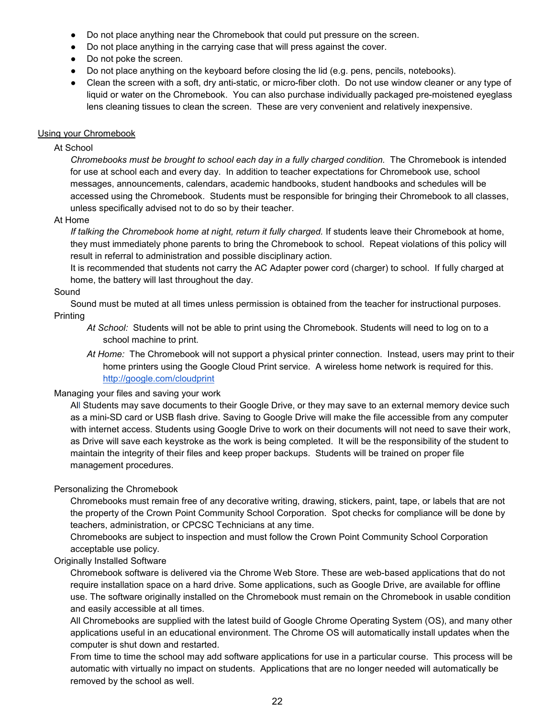- Do not place anything near the Chromebook that could put pressure on the screen.
- Do not place anything in the carrying case that will press against the cover.
- Do not poke the screen.
- Do not place anything on the keyboard before closing the lid (e.g. pens, pencils, notebooks).
- Clean the screen with a soft, dry anti-static, or micro-fiber cloth. Do not use window cleaner or any type of liquid or water on the Chromebook. You can also purchase individually packaged pre-moistened eyeglass lens cleaning tissues to clean the screen. These are very convenient and relatively inexpensive.

### Using your Chromebook

### At School

*Chromebooks must be brought to school each day in a fully charged condition.* The Chromebook is intended for use at school each and every day. In addition to teacher expectations for Chromebook use, school messages, announcements, calendars, academic handbooks, student handbooks and schedules will be accessed using the Chromebook. Students must be responsible for bringing their Chromebook to all classes, unless specifically advised not to do so by their teacher.

### At Home

*If talking the Chromebook home at night, return it fully charged.* If students leave their Chromebook at home, they must immediately phone parents to bring the Chromebook to school. Repeat violations of this policy will result in referral to administration and possible disciplinary action.

It is recommended that students not carry the AC Adapter power cord (charger) to school. If fully charged at home, the battery will last throughout the day.

### Sound

Sound must be muted at all times unless permission is obtained from the teacher for instructional purposes. **Printing** 

- *At School:* Students will not be able to print using the Chromebook. Students will need to log on to a school machine to print.
- *At Home:* The Chromebook will not support a physical printer connection. Instead, users may print to their home printers using the Google Cloud Print service. A wireless home network is required for this. <http://google.com/cloudprint>

### Managing your files and saving your work

All Students may save documents to their Google Drive, or they may save to an external memory device such as a mini-SD card or USB flash drive. Saving to Google Drive will make the file accessible from any computer with internet access. Students using Google Drive to work on their documents will not need to save their work, as Drive will save each keystroke as the work is being completed. It will be the responsibility of the student to maintain the integrity of their files and keep proper backups. Students will be trained on proper file management procedures.

### Personalizing the Chromebook

Chromebooks must remain free of any decorative writing, drawing, stickers, paint, tape, or labels that are not the property of the Crown Point Community School Corporation. Spot checks for compliance will be done by teachers, administration, or CPCSC Technicians at any time.

Chromebooks are subject to inspection and must follow the Crown Point Community School Corporation acceptable use policy.

### Originally Installed Software

Chromebook software is delivered via the Chrome Web Store. These are web-based applications that do not require installation space on a hard drive. Some applications, such as Google Drive, are available for offline use. The software originally installed on the Chromebook must remain on the Chromebook in usable condition and easily accessible at all times.

All Chromebooks are supplied with the latest build of Google Chrome Operating System (OS), and many other applications useful in an educational environment. The Chrome OS will automatically install updates when the computer is shut down and restarted.

From time to time the school may add software applications for use in a particular course. This process will be automatic with virtually no impact on students. Applications that are no longer needed will automatically be removed by the school as well.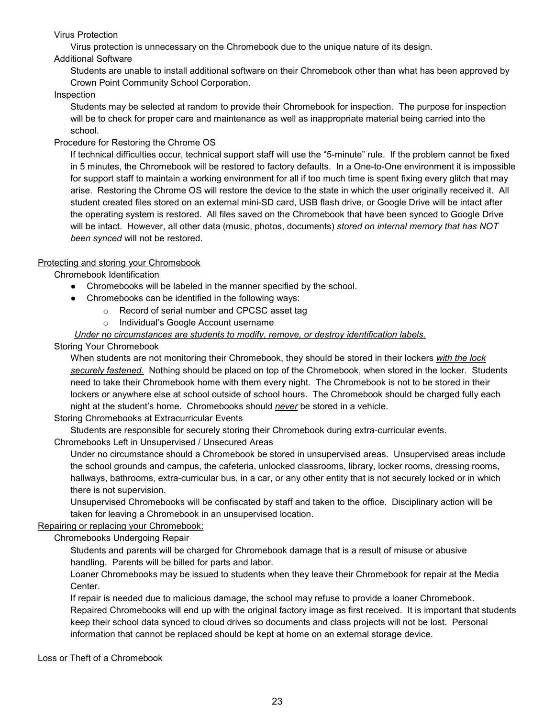## Virus Protection

Virus protection is unnecessary on the Chromebook due to the unique nature of its design.

## Additional Software

Students are unable to install additional software on their Chromebook other than what has been approved by Crown Point Community School Corporation.

## Inspection

Students may be selected at random to provide their Chromebook for inspection. The purpose for inspection will be to check for proper care and maintenance as well as inappropriate material being carried into the school.

# Procedure for Restoring the Chrome OS

If technical difficulties occur, technical support staff will use the "5-minute" rule. If the problem cannot be fixed in 5 minutes, the Chromebook will be restored to factory defaults. In a One-to-One environment it is impossible for support staff to maintain a working environment for all if too much time is spent fixing every glitch that may arise. Restoring the Chrome OS will restore the device to the state in which the user originally received it. All student created files stored on an external mini-SD card, USB flash drive, or Google Drive will be intact after the operating system is restored. All files saved on the Chromebook that have been synced to Google Drive will be intact. However, all other data (music, photos, documents) *stored on internal memory that has NOT been synced* will not be restored.

### Protecting and storing your Chromebook

Chromebook Identification

- Chromebooks will be labeled in the manner specified by the school.
- Chromebooks can be identified in the following ways:
	- o Record of serial number and CPCSC asset tag
	- o Individual's Google Account username

## *Under no circumstances are students to modify, remove, or destroy identification labels.*

### Storing Your Chromebook

When students are not monitoring their Chromebook, they should be stored in their lockers *with the lock securely fastened.* Nothing should be placed on top of the Chromebook, when stored in the locker. Students need to take their Chromebook home with them every night. The Chromebook is not to be stored in their lockers or anywhere else at school outside of school hours. The Chromebook should be charged fully each night at the student's home. Chromebooks should *never* be stored in a vehicle.

### Storing Chromebooks at Extracurricular Events

Students are responsible for securely storing their Chromebook during extra-curricular events.

Chromebooks Left in Unsupervised / Unsecured Areas

Under no circumstance should a Chromebook be stored in unsupervised areas. Unsupervised areas include the school grounds and campus, the cafeteria, unlocked classrooms, library, locker rooms, dressing rooms, hallways, bathrooms, extra-curricular bus, in a car, or any other entity that is not securely locked or in which there is not supervision.

Unsupervised Chromebooks will be confiscated by staff and taken to the office. Disciplinary action will be taken for leaving a Chromebook in an unsupervised location.

### Repairing or replacing your Chromebook:

Chromebooks Undergoing Repair

Students and parents will be charged for Chromebook damage that is a result of misuse or abusive handling. Parents will be billed for parts and labor.

Loaner Chromebooks may be issued to students when they leave their Chromebook for repair at the Media Center.

If repair is needed due to malicious damage, the school may refuse to provide a loaner Chromebook. Repaired Chromebooks will end up with the original factory image as first received. It is important that students keep their school data synced to cloud drives so documents and class projects will not be lost. Personal information that cannot be replaced should be kept at home on an external storage device.

Loss or Theft of a Chromebook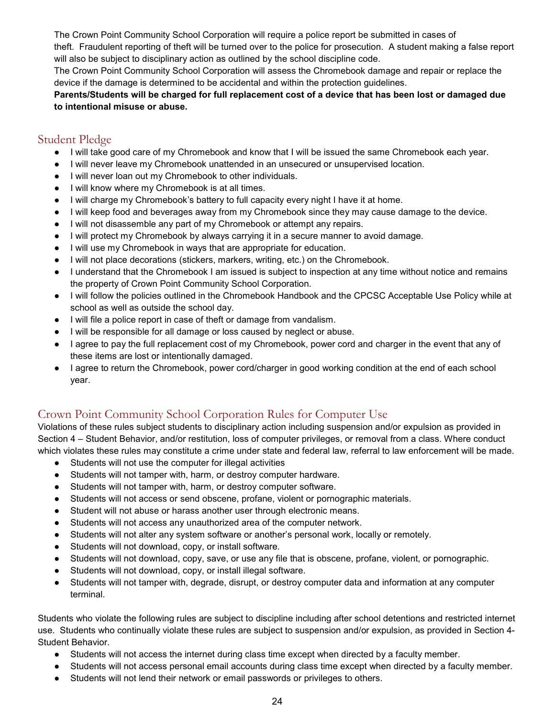The Crown Point Community School Corporation will require a police report be submitted in cases of

theft. Fraudulent reporting of theft will be turned over to the police for prosecution. A student making a false report will also be subject to disciplinary action as outlined by the school discipline code.

The Crown Point Community School Corporation will assess the Chromebook damage and repair or replace the device if the damage is determined to be accidental and within the protection guidelines.

**Parents/Students will be charged for full replacement cost of a device that has been lost or damaged due to intentional misuse or abuse.**

# <span id="page-23-0"></span>Student Pledge

- I will take good care of my Chromebook and know that I will be issued the same Chromebook each year.
- I will never leave my Chromebook unattended in an unsecured or unsupervised location.
- I will never loan out my Chromebook to other individuals.
- I will know where my Chromebook is at all times.
- I will charge my Chromebook's battery to full capacity every night I have it at home.
- I will keep food and beverages away from my Chromebook since they may cause damage to the device.
- I will not disassemble any part of my Chromebook or attempt any repairs.
- I will protect my Chromebook by always carrying it in a secure manner to avoid damage.
- I will use my Chromebook in ways that are appropriate for education.
- I will not place decorations (stickers, markers, writing, etc.) on the Chromebook.
- I understand that the Chromebook I am issued is subject to inspection at any time without notice and remains the property of Crown Point Community School Corporation.
- I will follow the policies outlined in the Chromebook Handbook and the CPCSC Acceptable Use Policy while at school as well as outside the school day.
- I will file a police report in case of theft or damage from vandalism.
- I will be responsible for all damage or loss caused by neglect or abuse.
- I agree to pay the full replacement cost of my Chromebook, power cord and charger in the event that any of these items are lost or intentionally damaged.
- I agree to return the Chromebook, power cord/charger in good working condition at the end of each school year.

# <span id="page-23-1"></span>Crown Point Community School Corporation Rules for Computer Use

Violations of these rules subject students to disciplinary action including suspension and/or expulsion as provided in Section 4 – Student Behavior, and/or restitution, loss of computer privileges, or removal from a class. Where conduct which violates these rules may constitute a crime under state and federal law, referral to law enforcement will be made.

- Students will not use the computer for illegal activities
- Students will not tamper with, harm, or destroy computer hardware.
- Students will not tamper with, harm, or destroy computer software.
- Students will not access or send obscene, profane, violent or pornographic materials.
- Student will not abuse or harass another user through electronic means.
- Students will not access any unauthorized area of the computer network.
- Students will not alter any system software or another's personal work, locally or remotely.
- Students will not download, copy, or install software.
- Students will not download, copy, save, or use any file that is obscene, profane, violent, or pornographic.
- Students will not download, copy, or install illegal software.
- Students will not tamper with, degrade, disrupt, or destroy computer data and information at any computer terminal.

Students who violate the following rules are subject to discipline including after school detentions and restricted internet use. Students who continually violate these rules are subject to suspension and/or expulsion, as provided in Section 4- Student Behavior.

- Students will not access the internet during class time except when directed by a faculty member.
- Students will not access personal email accounts during class time except when directed by a faculty member.
- Students will not lend their network or email passwords or privileges to others.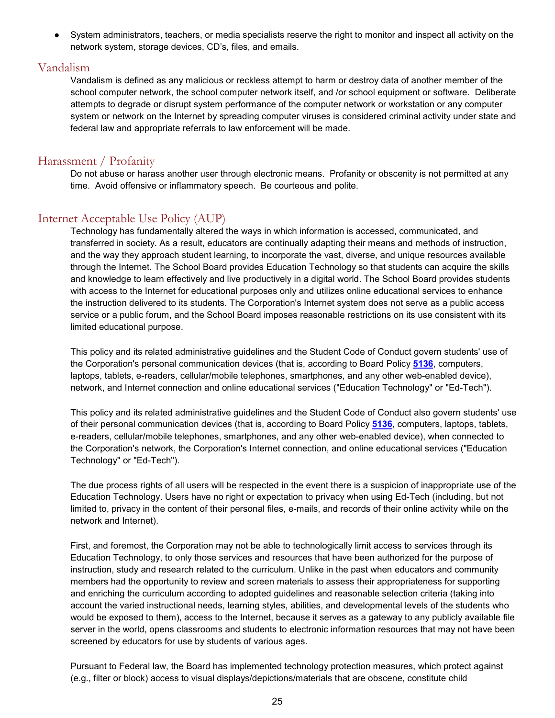● System administrators, teachers, or media specialists reserve the right to monitor and inspect all activity on the network system, storage devices, CD's, files, and emails.

# <span id="page-24-0"></span>Vandalism

Vandalism is defined as any malicious or reckless attempt to harm or destroy data of another member of the school computer network, the school computer network itself, and /or school equipment or software. Deliberate attempts to degrade or disrupt system performance of the computer network or workstation or any computer system or network on the Internet by spreading computer viruses is considered criminal activity under state and federal law and appropriate referrals to law enforcement will be made.

# <span id="page-24-1"></span>Harassment / Profanity

Do not abuse or harass another user through electronic means. Profanity or obscenity is not permitted at any time. Avoid offensive or inflammatory speech. Be courteous and polite.

# <span id="page-24-2"></span>Internet Acceptable Use Policy (AUP)

Technology has fundamentally altered the ways in which information is accessed, communicated, and transferred in society. As a result, educators are continually adapting their means and methods of instruction, and the way they approach student learning, to incorporate the vast, diverse, and unique resources available through the Internet. The School Board provides Education Technology so that students can acquire the skills and knowledge to learn effectively and live productively in a digital world. The School Board provides students with access to the Internet for educational purposes only and utilizes online educational services to enhance the instruction delivered to its students. The Corporation's Internet system does not serve as a public access service or a public forum, and the School Board imposes reasonable restrictions on its use consistent with its limited educational purpose.

This policy and its related administrative guidelines and the Student Code of Conduct govern students' use of the Corporation's personal communication devices (that is, according to Board Policy **[5136](http://www.neola.com/crownpoint-in/search/policies/po5136.htm)**, computers, laptops, tablets, e-readers, cellular/mobile telephones, smartphones, and any other web-enabled device), network, and Internet connection and online educational services ("Education Technology" or "Ed-Tech").

This policy and its related administrative guidelines and the Student Code of Conduct also govern students' use of their personal communication devices (that is, according to Board Policy **[5136](http://www.neola.com/crownpoint-in/search/policies/po5136.htm)**, computers, laptops, tablets, e-readers, cellular/mobile telephones, smartphones, and any other web-enabled device), when connected to the Corporation's network, the Corporation's Internet connection, and online educational services ("Education Technology" or "Ed-Tech").

The due process rights of all users will be respected in the event there is a suspicion of inappropriate use of the Education Technology. Users have no right or expectation to privacy when using Ed-Tech (including, but not limited to, privacy in the content of their personal files, e-mails, and records of their online activity while on the network and Internet).

First, and foremost, the Corporation may not be able to technologically limit access to services through its Education Technology, to only those services and resources that have been authorized for the purpose of instruction, study and research related to the curriculum. Unlike in the past when educators and community members had the opportunity to review and screen materials to assess their appropriateness for supporting and enriching the curriculum according to adopted guidelines and reasonable selection criteria (taking into account the varied instructional needs, learning styles, abilities, and developmental levels of the students who would be exposed to them), access to the Internet, because it serves as a gateway to any publicly available file server in the world, opens classrooms and students to electronic information resources that may not have been screened by educators for use by students of various ages.

Pursuant to Federal law, the Board has implemented technology protection measures, which protect against (e.g., filter or block) access to visual displays/depictions/materials that are obscene, constitute child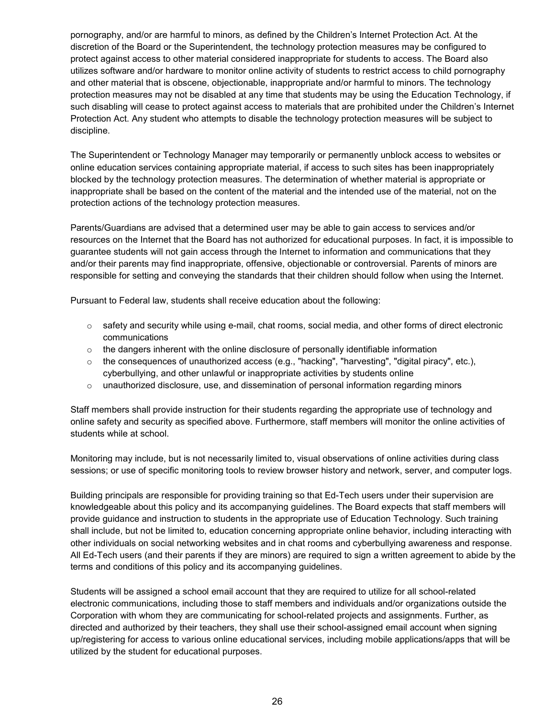pornography, and/or are harmful to minors, as defined by the Children's Internet Protection Act. At the discretion of the Board or the Superintendent, the technology protection measures may be configured to protect against access to other material considered inappropriate for students to access. The Board also utilizes software and/or hardware to monitor online activity of students to restrict access to child pornography and other material that is obscene, objectionable, inappropriate and/or harmful to minors. The technology protection measures may not be disabled at any time that students may be using the Education Technology, if such disabling will cease to protect against access to materials that are prohibited under the Children's Internet Protection Act. Any student who attempts to disable the technology protection measures will be subject to discipline.

The Superintendent or Technology Manager may temporarily or permanently unblock access to websites or online education services containing appropriate material, if access to such sites has been inappropriately blocked by the technology protection measures. The determination of whether material is appropriate or inappropriate shall be based on the content of the material and the intended use of the material, not on the protection actions of the technology protection measures.

Parents/Guardians are advised that a determined user may be able to gain access to services and/or resources on the Internet that the Board has not authorized for educational purposes. In fact, it is impossible to guarantee students will not gain access through the Internet to information and communications that they and/or their parents may find inappropriate, offensive, objectionable or controversial. Parents of minors are responsible for setting and conveying the standards that their children should follow when using the Internet.

Pursuant to Federal law, students shall receive education about the following:

- $\circ$  safety and security while using e-mail, chat rooms, social media, and other forms of direct electronic communications
- $\circ$  the dangers inherent with the online disclosure of personally identifiable information
- $\circ$  the consequences of unauthorized access (e.g., "hacking", "harvesting", "digital piracy", etc.), cyberbullying, and other unlawful or inappropriate activities by students online
- $\circ$  unauthorized disclosure, use, and dissemination of personal information regarding minors

Staff members shall provide instruction for their students regarding the appropriate use of technology and online safety and security as specified above. Furthermore, staff members will monitor the online activities of students while at school.

Monitoring may include, but is not necessarily limited to, visual observations of online activities during class sessions; or use of specific monitoring tools to review browser history and network, server, and computer logs.

Building principals are responsible for providing training so that Ed-Tech users under their supervision are knowledgeable about this policy and its accompanying guidelines. The Board expects that staff members will provide guidance and instruction to students in the appropriate use of Education Technology. Such training shall include, but not be limited to, education concerning appropriate online behavior, including interacting with other individuals on social networking websites and in chat rooms and cyberbullying awareness and response. All Ed-Tech users (and their parents if they are minors) are required to sign a written agreement to abide by the terms and conditions of this policy and its accompanying guidelines.

Students will be assigned a school email account that they are required to utilize for all school-related electronic communications, including those to staff members and individuals and/or organizations outside the Corporation with whom they are communicating for school-related projects and assignments. Further, as directed and authorized by their teachers, they shall use their school-assigned email account when signing up/registering for access to various online educational services, including mobile applications/apps that will be utilized by the student for educational purposes.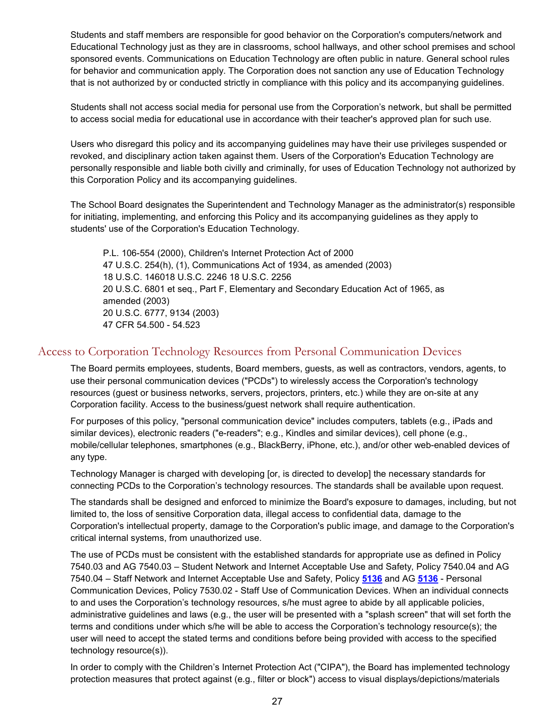Students and staff members are responsible for good behavior on the Corporation's computers/network and Educational Technology just as they are in classrooms, school hallways, and other school premises and school sponsored events. Communications on Education Technology are often public in nature. General school rules for behavior and communication apply. The Corporation does not sanction any use of Education Technology that is not authorized by or conducted strictly in compliance with this policy and its accompanying guidelines.

Students shall not access social media for personal use from the Corporation's network, but shall be permitted to access social media for educational use in accordance with their teacher's approved plan for such use.

Users who disregard this policy and its accompanying guidelines may have their use privileges suspended or revoked, and disciplinary action taken against them. Users of the Corporation's Education Technology are personally responsible and liable both civilly and criminally, for uses of Education Technology not authorized by this Corporation Policy and its accompanying guidelines.

The School Board designates the Superintendent and Technology Manager as the administrator(s) responsible for initiating, implementing, and enforcing this Policy and its accompanying guidelines as they apply to students' use of the Corporation's Education Technology.

P.L. 106-554 (2000), Children's Internet Protection Act of 2000 47 U.S.C. 254(h), (1), Communications Act of 1934, as amended (2003) 18 U.S.C. 146018 U.S.C. 2246 18 U.S.C. 2256 20 U.S.C. 6801 et seq., Part F, Elementary and Secondary Education Act of 1965, as amended (2003) 20 U.S.C. 6777, 9134 (2003) 47 CFR 54.500 - 54.523

# <span id="page-26-0"></span>Access to Corporation Technology Resources from Personal Communication Devices

The Board permits employees, students, Board members, guests, as well as contractors, vendors, agents, to use their personal communication devices ("PCDs") to wirelessly access the Corporation's technology resources (guest or business networks, servers, projectors, printers, etc.) while they are on-site at any Corporation facility. Access to the business/guest network shall require authentication.

For purposes of this policy, "personal communication device" includes computers, tablets (e.g., iPads and similar devices), electronic readers ("e-readers"; e.g., Kindles and similar devices), cell phone (e.g., mobile/cellular telephones, smartphones (e.g., BlackBerry, iPhone, etc.), and/or other web-enabled devices of any type.

Technology Manager is charged with developing [or, is directed to develop] the necessary standards for connecting PCDs to the Corporation's technology resources. The standards shall be available upon request.

The standards shall be designed and enforced to minimize the Board's exposure to damages, including, but not limited to, the loss of sensitive Corporation data, illegal access to confidential data, damage to the Corporation's intellectual property, damage to the Corporation's public image, and damage to the Corporation's critical internal systems, from unauthorized use.

The use of PCDs must be consistent with the established standards for appropriate use as defined in Policy 7540.03 and AG 7540.03 – Student Network and Internet Acceptable Use and Safety, Policy 7540.04 and AG 7540.04 – Staff Network and Internet Acceptable Use and Safety, Policy **[5136](http://www.neola.com/crownpoint-in/search/policies/po5136.htm)** and AG **[5136](http://www.neola.com/crownpoint-in/search/ag/ag5136.htm)** - Personal Communication Devices, Policy 7530.02 - Staff Use of Communication Devices. When an individual connects to and uses the Corporation's technology resources, s/he must agree to abide by all applicable policies, administrative guidelines and laws (e.g., the user will be presented with a "splash screen" that will set forth the terms and conditions under which s/he will be able to access the Corporation's technology resource(s); the user will need to accept the stated terms and conditions before being provided with access to the specified technology resource(s)).

In order to comply with the Children's Internet Protection Act ("CIPA"), the Board has implemented technology protection measures that protect against (e.g., filter or block") access to visual displays/depictions/materials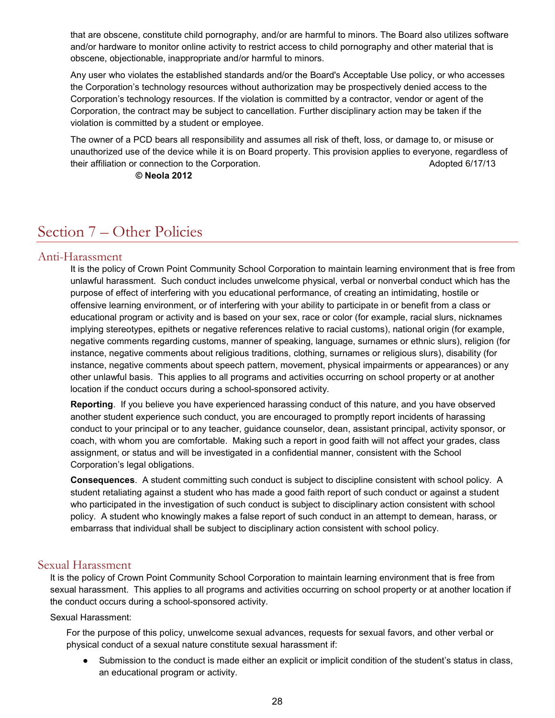that are obscene, constitute child pornography, and/or are harmful to minors. The Board also utilizes software and/or hardware to monitor online activity to restrict access to child pornography and other material that is obscene, objectionable, inappropriate and/or harmful to minors.

Any user who violates the established standards and/or the Board's Acceptable Use policy, or who accesses the Corporation's technology resources without authorization may be prospectively denied access to the Corporation's technology resources. If the violation is committed by a contractor, vendor or agent of the Corporation, the contract may be subject to cancellation. Further disciplinary action may be taken if the violation is committed by a student or employee.

The owner of a PCD bears all responsibility and assumes all risk of theft, loss, or damage to, or misuse or unauthorized use of the device while it is on Board property. This provision applies to everyone, regardless of their affiliation or connection to the Corporation. The Connection of the Corporation connection of the Corporation.

### **© Neola 2012**

# <span id="page-27-0"></span>Section 7 – Other Policies

## <span id="page-27-1"></span>Anti-Harassment

It is the policy of Crown Point Community School Corporation to maintain learning environment that is free from unlawful harassment. Such conduct includes unwelcome physical, verbal or nonverbal conduct which has the purpose of effect of interfering with you educational performance, of creating an intimidating, hostile or offensive learning environment, or of interfering with your ability to participate in or benefit from a class or educational program or activity and is based on your sex, race or color (for example, racial slurs, nicknames implying stereotypes, epithets or negative references relative to racial customs), national origin (for example, negative comments regarding customs, manner of speaking, language, surnames or ethnic slurs), religion (for instance, negative comments about religious traditions, clothing, surnames or religious slurs), disability (for instance, negative comments about speech pattern, movement, physical impairments or appearances) or any other unlawful basis. This applies to all programs and activities occurring on school property or at another location if the conduct occurs during a school-sponsored activity.

**Reporting**. If you believe you have experienced harassing conduct of this nature, and you have observed another student experience such conduct, you are encouraged to promptly report incidents of harassing conduct to your principal or to any teacher, guidance counselor, dean, assistant principal, activity sponsor, or coach, with whom you are comfortable. Making such a report in good faith will not affect your grades, class assignment, or status and will be investigated in a confidential manner, consistent with the School Corporation's legal obligations.

**Consequences**. A student committing such conduct is subject to discipline consistent with school policy. A student retaliating against a student who has made a good faith report of such conduct or against a student who participated in the investigation of such conduct is subject to disciplinary action consistent with school policy. A student who knowingly makes a false report of such conduct in an attempt to demean, harass, or embarrass that individual shall be subject to disciplinary action consistent with school policy.

# <span id="page-27-2"></span>Sexual Harassment

It is the policy of Crown Point Community School Corporation to maintain learning environment that is free from sexual harassment. This applies to all programs and activities occurring on school property or at another location if the conduct occurs during a school-sponsored activity.

Sexual Harassment:

For the purpose of this policy, unwelcome sexual advances, requests for sexual favors, and other verbal or physical conduct of a sexual nature constitute sexual harassment if:

Submission to the conduct is made either an explicit or implicit condition of the student's status in class, an educational program or activity.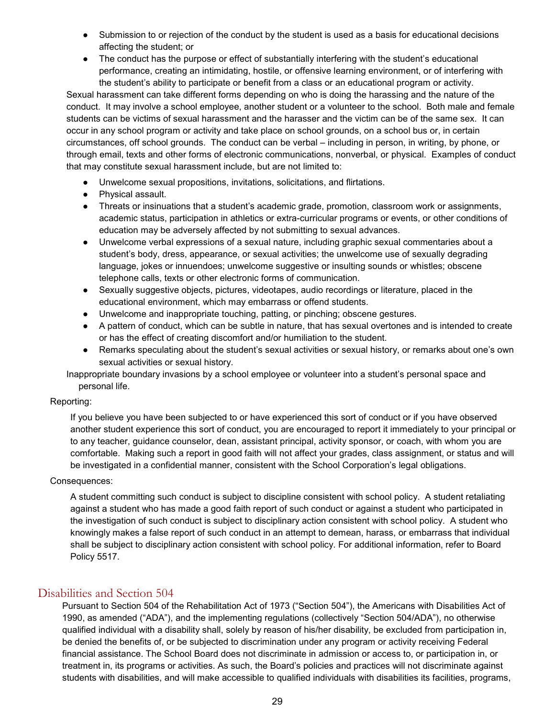- Submission to or rejection of the conduct by the student is used as a basis for educational decisions affecting the student; or
- The conduct has the purpose or effect of substantially interfering with the student's educational performance, creating an intimidating, hostile, or offensive learning environment, or of interfering with the student's ability to participate or benefit from a class or an educational program or activity.

Sexual harassment can take different forms depending on who is doing the harassing and the nature of the conduct. It may involve a school employee, another student or a volunteer to the school. Both male and female students can be victims of sexual harassment and the harasser and the victim can be of the same sex. It can occur in any school program or activity and take place on school grounds, on a school bus or, in certain circumstances, off school grounds. The conduct can be verbal – including in person, in writing, by phone, or through email, texts and other forms of electronic communications, nonverbal, or physical. Examples of conduct that may constitute sexual harassment include, but are not limited to:

- Unwelcome sexual propositions, invitations, solicitations, and flirtations.
- Physical assault.
- Threats or insinuations that a student's academic grade, promotion, classroom work or assignments, academic status, participation in athletics or extra-curricular programs or events, or other conditions of education may be adversely affected by not submitting to sexual advances.
- Unwelcome verbal expressions of a sexual nature, including graphic sexual commentaries about a student's body, dress, appearance, or sexual activities; the unwelcome use of sexually degrading language, jokes or innuendoes; unwelcome suggestive or insulting sounds or whistles; obscene telephone calls, texts or other electronic forms of communication.
- Sexually suggestive objects, pictures, videotapes, audio recordings or literature, placed in the educational environment, which may embarrass or offend students.
- Unwelcome and inappropriate touching, patting, or pinching; obscene gestures.
- A pattern of conduct, which can be subtle in nature, that has sexual overtones and is intended to create or has the effect of creating discomfort and/or humiliation to the student.
- Remarks speculating about the student's sexual activities or sexual history, or remarks about one's own sexual activities or sexual history.

Inappropriate boundary invasions by a school employee or volunteer into a student's personal space and personal life.

### Reporting:

If you believe you have been subjected to or have experienced this sort of conduct or if you have observed another student experience this sort of conduct, you are encouraged to report it immediately to your principal or to any teacher, guidance counselor, dean, assistant principal, activity sponsor, or coach, with whom you are comfortable. Making such a report in good faith will not affect your grades, class assignment, or status and will be investigated in a confidential manner, consistent with the School Corporation's legal obligations.

### Consequences:

A student committing such conduct is subject to discipline consistent with school policy. A student retaliating against a student who has made a good faith report of such conduct or against a student who participated in the investigation of such conduct is subject to disciplinary action consistent with school policy. A student who knowingly makes a false report of such conduct in an attempt to demean, harass, or embarrass that individual shall be subject to disciplinary action consistent with school policy. For additional information, refer to Board Policy 5517.

# <span id="page-28-0"></span>Disabilities and Section 504

Pursuant to Section 504 of the Rehabilitation Act of 1973 ("Section 504"), the Americans with Disabilities Act of 1990, as amended ("ADA"), and the implementing regulations (collectively "Section 504/ADA"), no otherwise qualified individual with a disability shall, solely by reason of his/her disability, be excluded from participation in, be denied the benefits of, or be subjected to discrimination under any program or activity receiving Federal financial assistance. The School Board does not discriminate in admission or access to, or participation in, or treatment in, its programs or activities. As such, the Board's policies and practices will not discriminate against students with disabilities, and will make accessible to qualified individuals with disabilities its facilities, programs,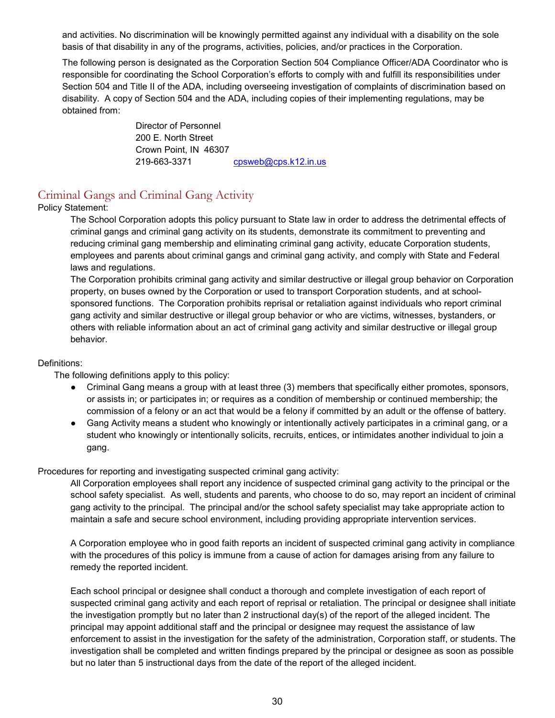and activities. No discrimination will be knowingly permitted against any individual with a disability on the sole basis of that disability in any of the programs, activities, policies, and/or practices in the Corporation.

The following person is designated as the Corporation Section 504 Compliance Officer/ADA Coordinator who is responsible for coordinating the School Corporation's efforts to comply with and fulfill its responsibilities under Section 504 and Title II of the ADA, including overseeing investigation of complaints of discrimination based on disability. A copy of Section 504 and the ADA, including copies of their implementing regulations, may be obtained from:

> Director of Personnel 200 E. North Street Crown Point, IN 46307 219-663-3371 [cpsweb@cps.k12.in.us](mailto:cpsweb@cps.k12.in.us)

# <span id="page-29-0"></span>Criminal Gangs and Criminal Gang Activity

## Policy Statement:

The School Corporation adopts this policy pursuant to State law in order to address the detrimental effects of criminal gangs and criminal gang activity on its students, demonstrate its commitment to preventing and reducing criminal gang membership and eliminating criminal gang activity, educate Corporation students, employees and parents about criminal gangs and criminal gang activity, and comply with State and Federal laws and regulations.

The Corporation prohibits criminal gang activity and similar destructive or illegal group behavior on Corporation property, on buses owned by the Corporation or used to transport Corporation students, and at schoolsponsored functions. The Corporation prohibits reprisal or retaliation against individuals who report criminal gang activity and similar destructive or illegal group behavior or who are victims, witnesses, bystanders, or others with reliable information about an act of criminal gang activity and similar destructive or illegal group behavior.

### Definitions:

The following definitions apply to this policy:

- Criminal Gang means a group with at least three (3) members that specifically either promotes, sponsors, or assists in; or participates in; or requires as a condition of membership or continued membership; the commission of a felony or an act that would be a felony if committed by an adult or the offense of battery.
- Gang Activity means a student who knowingly or intentionally actively participates in a criminal gang, or a student who knowingly or intentionally solicits, recruits, entices, or intimidates another individual to join a gang.

### Procedures for reporting and investigating suspected criminal gang activity:

All Corporation employees shall report any incidence of suspected criminal gang activity to the principal or the school safety specialist. As well, students and parents, who choose to do so, may report an incident of criminal gang activity to the principal. The principal and/or the school safety specialist may take appropriate action to maintain a safe and secure school environment, including providing appropriate intervention services.

A Corporation employee who in good faith reports an incident of suspected criminal gang activity in compliance with the procedures of this policy is immune from a cause of action for damages arising from any failure to remedy the reported incident.

Each school principal or designee shall conduct a thorough and complete investigation of each report of suspected criminal gang activity and each report of reprisal or retaliation. The principal or designee shall initiate the investigation promptly but no later than 2 instructional day(s) of the report of the alleged incident. The principal may appoint additional staff and the principal or designee may request the assistance of law enforcement to assist in the investigation for the safety of the administration, Corporation staff, or students. The investigation shall be completed and written findings prepared by the principal or designee as soon as possible but no later than 5 instructional days from the date of the report of the alleged incident.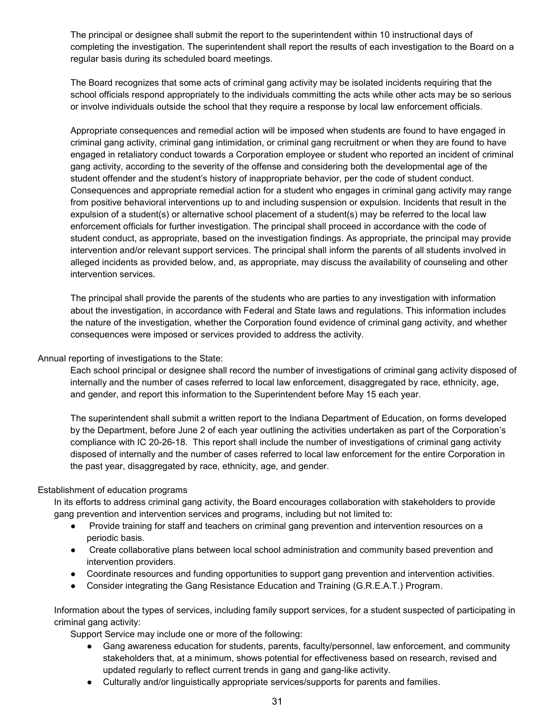The principal or designee shall submit the report to the superintendent within 10 instructional days of completing the investigation. The superintendent shall report the results of each investigation to the Board on a regular basis during its scheduled board meetings.

The Board recognizes that some acts of criminal gang activity may be isolated incidents requiring that the school officials respond appropriately to the individuals committing the acts while other acts may be so serious or involve individuals outside the school that they require a response by local law enforcement officials.

Appropriate consequences and remedial action will be imposed when students are found to have engaged in criminal gang activity, criminal gang intimidation, or criminal gang recruitment or when they are found to have engaged in retaliatory conduct towards a Corporation employee or student who reported an incident of criminal gang activity, according to the severity of the offense and considering both the developmental age of the student offender and the student's history of inappropriate behavior, per the code of student conduct. Consequences and appropriate remedial action for a student who engages in criminal gang activity may range from positive behavioral interventions up to and including suspension or expulsion. Incidents that result in the expulsion of a student(s) or alternative school placement of a student(s) may be referred to the local law enforcement officials for further investigation. The principal shall proceed in accordance with the code of student conduct, as appropriate, based on the investigation findings. As appropriate, the principal may provide intervention and/or relevant support services. The principal shall inform the parents of all students involved in alleged incidents as provided below, and, as appropriate, may discuss the availability of counseling and other intervention services.

The principal shall provide the parents of the students who are parties to any investigation with information about the investigation, in accordance with Federal and State laws and regulations. This information includes the nature of the investigation, whether the Corporation found evidence of criminal gang activity, and whether consequences were imposed or services provided to address the activity.

### Annual reporting of investigations to the State:

Each school principal or designee shall record the number of investigations of criminal gang activity disposed of internally and the number of cases referred to local law enforcement, disaggregated by race, ethnicity, age, and gender, and report this information to the Superintendent before May 15 each year.

The superintendent shall submit a written report to the Indiana Department of Education, on forms developed by the Department, before June 2 of each year outlining the activities undertaken as part of the Corporation's compliance with IC 20-26-18. This report shall include the number of investigations of criminal gang activity disposed of internally and the number of cases referred to local law enforcement for the entire Corporation in the past year, disaggregated by race, ethnicity, age, and gender.

#### Establishment of education programs

In its efforts to address criminal gang activity, the Board encourages collaboration with stakeholders to provide gang prevention and intervention services and programs, including but not limited to:

- Provide training for staff and teachers on criminal gang prevention and intervention resources on a periodic basis.
- Create collaborative plans between local school administration and community based prevention and intervention providers.
- Coordinate resources and funding opportunities to support gang prevention and intervention activities.
- Consider integrating the Gang Resistance Education and Training (G.R.E.A.T.) Program.

Information about the types of services, including family support services, for a student suspected of participating in criminal gang activity:

Support Service may include one or more of the following:

- Gang awareness education for students, parents, faculty/personnel, law enforcement, and community stakeholders that, at a minimum, shows potential for effectiveness based on research, revised and updated regularly to reflect current trends in gang and gang-like activity.
- Culturally and/or linguistically appropriate services/supports for parents and families.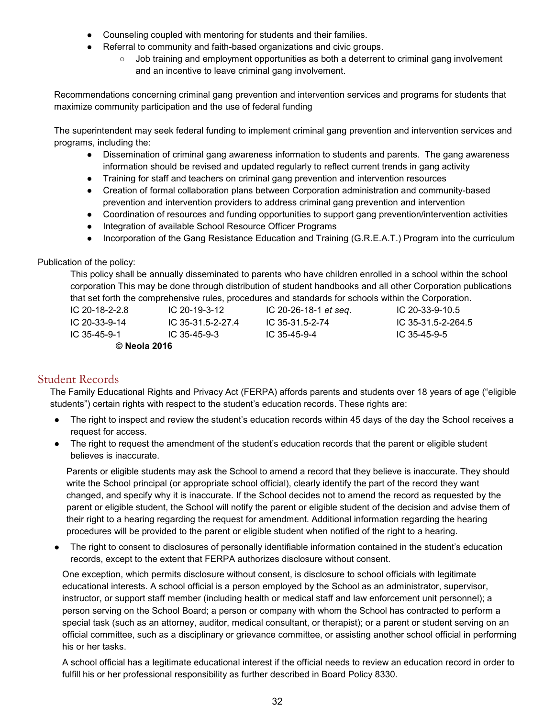- Counseling coupled with mentoring for students and their families.
- Referral to community and faith-based organizations and civic groups.
	- Job training and employment opportunities as both a deterrent to criminal gang involvement and an incentive to leave criminal gang involvement.

Recommendations concerning criminal gang prevention and intervention services and programs for students that maximize community participation and the use of federal funding

The superintendent may seek federal funding to implement criminal gang prevention and intervention services and programs, including the:

- Dissemination of criminal gang awareness information to students and parents. The gang awareness information should be revised and updated regularly to reflect current trends in gang activity
- Training for staff and teachers on criminal gang prevention and intervention resources
- Creation of formal collaboration plans between Corporation administration and community-based prevention and intervention providers to address criminal gang prevention and intervention
- Coordination of resources and funding opportunities to support gang prevention/intervention activities
- Integration of available School Resource Officer Programs
- Incorporation of the Gang Resistance Education and Training (G.R.E.A.T.) Program into the curriculum

### Publication of the policy:

This policy shall be annually disseminated to parents who have children enrolled in a school within the school corporation This may be done through distribution of student handbooks and all other Corporation publications that set forth the comprehensive rules, procedures and standards for schools within the Corporation.

IC 20-18-2-2.8 IC 20-19-3-12 IC 20-26-18-1 *et seq*. IC 20-33-9-10.5 IC 20-33-9-14 IC 35-31.5-2-27.4 IC 35-31.5-2-74 IC 35-31.5-2-264.5 IC 35-45-9-1 IC 35-45-9-3 IC 35-45-9-4 IC 35-45-9-5 **© Neola 2016**

# <span id="page-31-0"></span>Student Records

The Family Educational Rights and Privacy Act (FERPA) affords parents and students over 18 years of age ("eligible students") certain rights with respect to the student's education records. These rights are:

- The right to inspect and review the student's education records within 45 days of the day the School receives a request for access.
- The right to request the amendment of the student's education records that the parent or eligible student believes is inaccurate.

Parents or eligible students may ask the School to amend a record that they believe is inaccurate. They should write the School principal (or appropriate school official), clearly identify the part of the record they want changed, and specify why it is inaccurate. If the School decides not to amend the record as requested by the parent or eligible student, the School will notify the parent or eligible student of the decision and advise them of their right to a hearing regarding the request for amendment. Additional information regarding the hearing procedures will be provided to the parent or eligible student when notified of the right to a hearing.

The right to consent to disclosures of personally identifiable information contained in the student's education records, except to the extent that FERPA authorizes disclosure without consent.

One exception, which permits disclosure without consent, is disclosure to school officials with legitimate educational interests. A school official is a person employed by the School as an administrator, supervisor, instructor, or support staff member (including health or medical staff and law enforcement unit personnel); a person serving on the School Board; a person or company with whom the School has contracted to perform a special task (such as an attorney, auditor, medical consultant, or therapist); or a parent or student serving on an official committee, such as a disciplinary or grievance committee, or assisting another school official in performing his or her tasks.

A school official has a legitimate educational interest if the official needs to review an education record in order to fulfill his or her professional responsibility as further described in Board Policy 8330.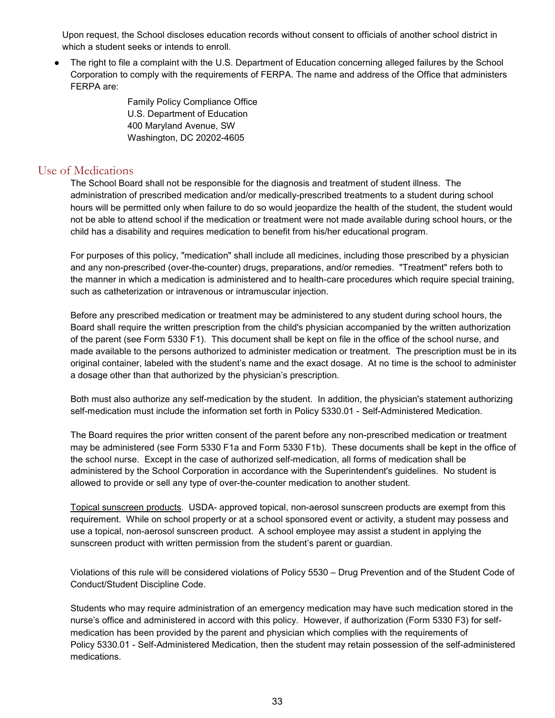Upon request, the School discloses education records without consent to officials of another school district in which a student seeks or intends to enroll.

● The right to file a complaint with the U.S. Department of Education concerning alleged failures by the School Corporation to comply with the requirements of FERPA. The name and address of the Office that administers FERPA are:

> Family Policy Compliance Office U.S. Department of Education 400 Maryland Avenue, SW Washington, DC 20202-4605

# <span id="page-32-0"></span>Use of Medications

The School Board shall not be responsible for the diagnosis and treatment of student illness. The administration of prescribed medication and/or medically-prescribed treatments to a student during school hours will be permitted only when failure to do so would jeopardize the health of the student, the student would not be able to attend school if the medication or treatment were not made available during school hours, or the child has a disability and requires medication to benefit from his/her educational program.

For purposes of this policy, "medication" shall include all medicines, including those prescribed by a physician and any non-prescribed (over-the-counter) drugs, preparations, and/or remedies. "Treatment" refers both to the manner in which a medication is administered and to health-care procedures which require special training, such as catheterization or intravenous or intramuscular injection.

Before any prescribed medication or treatment may be administered to any student during school hours, the Board shall require the written prescription from the child's physician accompanied by the written authorization of the parent (see Form 5330 F1). This document shall be kept on file in the office of the school nurse, and made available to the persons authorized to administer medication or treatment. The prescription must be in its original container, labeled with the student's name and the exact dosage. At no time is the school to administer a dosage other than that authorized by the physician's prescription.

Both must also authorize any self-medication by the student. In addition, the physician's statement authorizing self-medication must include the information set forth in Policy 5330.01 - Self-Administered Medication.

The Board requires the prior written consent of the parent before any non-prescribed medication or treatment may be administered (see Form 5330 F1a and Form 5330 F1b). These documents shall be kept in the office of the school nurse. Except in the case of authorized self-medication, all forms of medication shall be administered by the School Corporation in accordance with the Superintendent's guidelines. No student is allowed to provide or sell any type of over-the-counter medication to another student.

Topical sunscreen products. USDA- approved topical, non-aerosol sunscreen products are exempt from this requirement. While on school property or at a school sponsored event or activity, a student may possess and use a topical, non-aerosol sunscreen product. A school employee may assist a student in applying the sunscreen product with written permission from the student's parent or guardian.

Violations of this rule will be considered violations of Policy 5530 – Drug Prevention and of the Student Code of Conduct/Student Discipline Code.

Students who may require administration of an emergency medication may have such medication stored in the nurse's office and administered in accord with this policy. However, if authorization (Form 5330 F3) for selfmedication has been provided by the parent and physician which complies with the requirements of Policy 5330.01 - Self-Administered Medication, then the student may retain possession of the self-administered medications.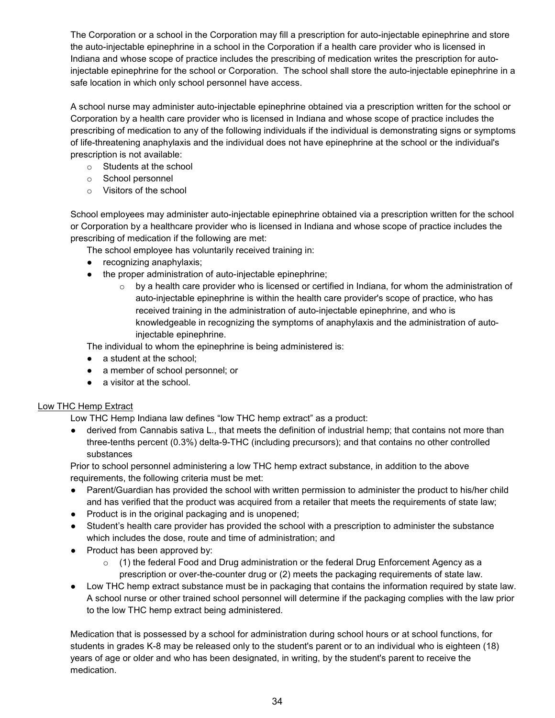The Corporation or a school in the Corporation may fill a prescription for auto-injectable epinephrine and store the auto-injectable epinephrine in a school in the Corporation if a health care provider who is licensed in Indiana and whose scope of practice includes the prescribing of medication writes the prescription for autoinjectable epinephrine for the school or Corporation. The school shall store the auto-injectable epinephrine in a safe location in which only school personnel have access.

A school nurse may administer auto-injectable epinephrine obtained via a prescription written for the school or Corporation by a health care provider who is licensed in Indiana and whose scope of practice includes the prescribing of medication to any of the following individuals if the individual is demonstrating signs or symptoms of life-threatening anaphylaxis and the individual does not have epinephrine at the school or the individual's prescription is not available:

- o Students at the school
- o School personnel
- o Visitors of the school

School employees may administer auto-injectable epinephrine obtained via a prescription written for the school or Corporation by a healthcare provider who is licensed in Indiana and whose scope of practice includes the prescribing of medication if the following are met:

The school employee has voluntarily received training in:

- recognizing anaphylaxis;
- the proper administration of auto-injectable epinephrine;
	- $\circ$  by a health care provider who is licensed or certified in Indiana, for whom the administration of auto-injectable epinephrine is within the health care provider's scope of practice, who has received training in the administration of auto-injectable epinephrine, and who is knowledgeable in recognizing the symptoms of anaphylaxis and the administration of autoinjectable epinephrine.

The individual to whom the epinephrine is being administered is:

- a student at the school;
- a member of school personnel; or
- a visitor at the school.

# Low THC Hemp Extract

Low THC Hemp Indiana law defines "low THC hemp extract" as a product:

derived from Cannabis sativa L., that meets the definition of industrial hemp; that contains not more than three-tenths percent (0.3%) delta-9-THC (including precursors); and that contains no other controlled substances

Prior to school personnel administering a low THC hemp extract substance, in addition to the above requirements, the following criteria must be met:

- Parent/Guardian has provided the school with written permission to administer the product to his/her child and has verified that the product was acquired from a retailer that meets the requirements of state law;
- Product is in the original packaging and is unopened;
- Student's health care provider has provided the school with a prescription to administer the substance which includes the dose, route and time of administration; and
- Product has been approved by:
	- $(1)$  the federal Food and Drug administration or the federal Drug Enforcement Agency as a prescription or over-the-counter drug or (2) meets the packaging requirements of state law.
- Low THC hemp extract substance must be in packaging that contains the information required by state law. A school nurse or other trained school personnel will determine if the packaging complies with the law prior to the low THC hemp extract being administered.

Medication that is possessed by a school for administration during school hours or at school functions, for students in grades K-8 may be released only to the student's parent or to an individual who is eighteen (18) years of age or older and who has been designated, in writing, by the student's parent to receive the medication.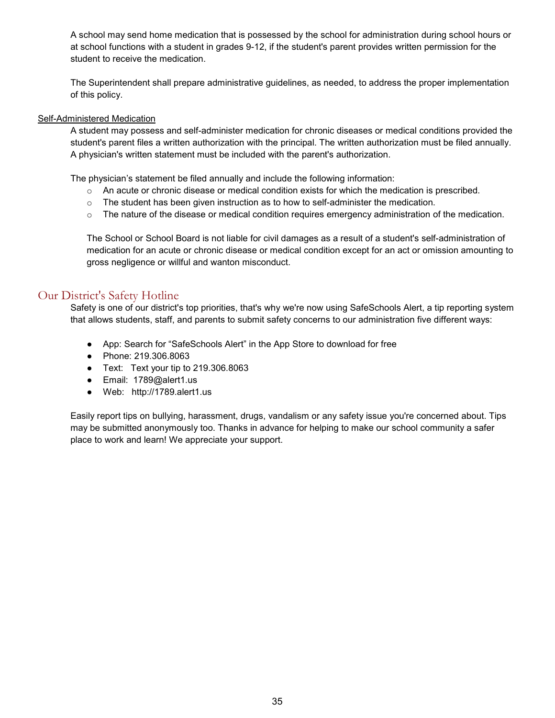A school may send home medication that is possessed by the school for administration during school hours or at school functions with a student in grades 9-12, if the student's parent provides written permission for the student to receive the medication.

The Superintendent shall prepare administrative guidelines, as needed, to address the proper implementation of this policy.

#### Self-Administered Medication

A student may possess and self-administer medication for chronic diseases or medical conditions provided the student's parent files a written authorization with the principal. The written authorization must be filed annually. A physician's written statement must be included with the parent's authorization.

The physician's statement be filed annually and include the following information:

- $\circ$  An acute or chronic disease or medical condition exists for which the medication is prescribed.
- $\circ$  The student has been given instruction as to how to self-administer the medication.
- o The nature of the disease or medical condition requires emergency administration of the medication.

The School or School Board is not liable for civil damages as a result of a student's self-administration of medication for an acute or chronic disease or medical condition except for an act or omission amounting to gross negligence or willful and wanton misconduct.

# <span id="page-34-0"></span>Our District's Safety Hotline

Safety is one of our district's top priorities, that's why we're now using SafeSchools Alert, a tip reporting system that allows students, staff, and parents to submit safety concerns to our administration five different ways:

- App: Search for "SafeSchools Alert" in the App Store to download for free
- Phone: 219.306.8063
- Text: Text your tip to 219.306.8063
- Email: 1789@alert1.us
- Web: [http://1789.alert1.us](http://1789.alert1.us/)

Easily report tips on bullying, harassment, drugs, vandalism or any safety issue you're concerned about. Tips may be submitted anonymously too. Thanks in advance for helping to make our school community a safer place to work and learn! We appreciate your support.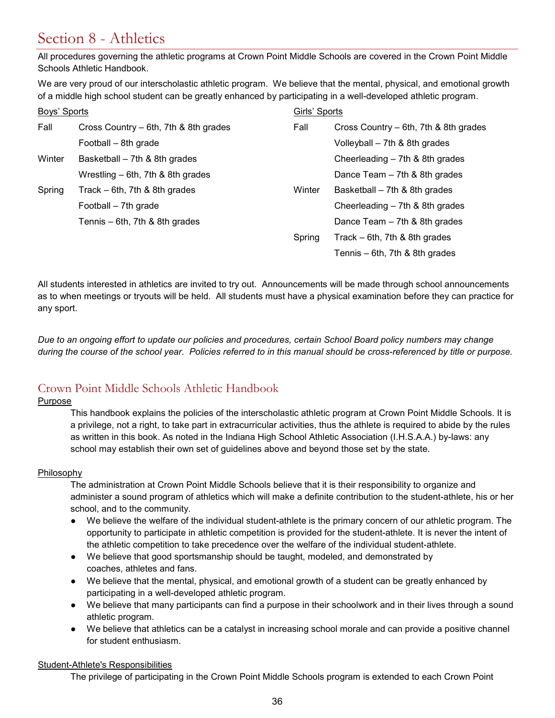# <span id="page-35-0"></span>Section 8 - Athletics

All procedures governing the athletic programs at Crown Point Middle Schools are covered in the Crown Point Middle Schools Athletic Handbook.

We are very proud of our interscholastic athletic program. We believe that the mental, physical, and emotional growth of a middle high school student can be greatly enhanced by participating in a well-developed athletic program.

| Boys' Sports |                                       |        | Girls' Sports                         |  |
|--------------|---------------------------------------|--------|---------------------------------------|--|
| Fall         | Cross Country – 6th, 7th & 8th grades | Fall   | Cross Country – 6th, 7th & 8th grades |  |
|              | Football – 8th grade                  |        | Volleyball - 7th & 8th grades         |  |
| Winter       | Basketball – 7th & 8th grades         |        | Cheerleading - 7th & 8th grades       |  |
|              | Wrestling $-$ 6th, 7th & 8th grades   |        | Dance Team $-7$ th & 8th grades       |  |
| Spring       | Track $-$ 6th, 7th & 8th grades       | Winter | Basketball $-7$ th & 8th grades       |  |
|              | Football - 7th grade                  |        | Cheerleading $-7th$ & 8th grades      |  |
|              | Tennis - 6th, 7th & 8th grades        |        | Dance Team $-$ 7th & 8th grades       |  |
|              |                                       | Spring | Track $-$ 6th, 7th & 8th grades       |  |
|              |                                       |        | Tennis $-$ 6th, 7th & 8th grades      |  |

All students interested in athletics are invited to try out. Announcements will be made through school announcements as to when meetings or tryouts will be held. All students must have a physical examination before they can practice for any sport.

*Due to an ongoing effort to update our policies and procedures, certain School Board policy numbers may change during the course of the school year. Policies referred to in this manual should be cross-referenced by title or purpose.*

# <span id="page-35-1"></span>Crown Point Middle Schools Athletic Handbook

### Purpose

This handbook explains the policies of the interscholastic athletic program at Crown Point Middle Schools. It is a privilege, not a right, to take part in extracurricular activities, thus the athlete is required to abide by the rules as written in this book. As noted in the Indiana High School Athletic Association (I.H.S.A.A.) by-laws: any school may establish their own set of guidelines above and beyond those set by the state.

### Philosophy

The administration at Crown Point Middle Schools believe that it is their responsibility to organize and administer a sound program of athletics which will make a definite contribution to the student-athlete, his or her school, and to the community.

- We believe the welfare of the individual student-athlete is the primary concern of our athletic program. The opportunity to participate in athletic competition is provided for the student-athlete. It is never the intent of the athletic competition to take precedence over the welfare of the individual student-athlete.
- We believe that good sportsmanship should be taught, modeled, and demonstrated by coaches, athletes and fans.
- We believe that the mental, physical, and emotional growth of a student can be greatly enhanced by participating in a well-developed athletic program.
- We believe that many participants can find a purpose in their schoolwork and in their lives through a sound athletic program.
- We believe that athletics can be a catalyst in increasing school morale and can provide a positive channel for student enthusiasm.

### Student-Athlete's Responsibilities

The privilege of participating in the Crown Point Middle Schools program is extended to each Crown Point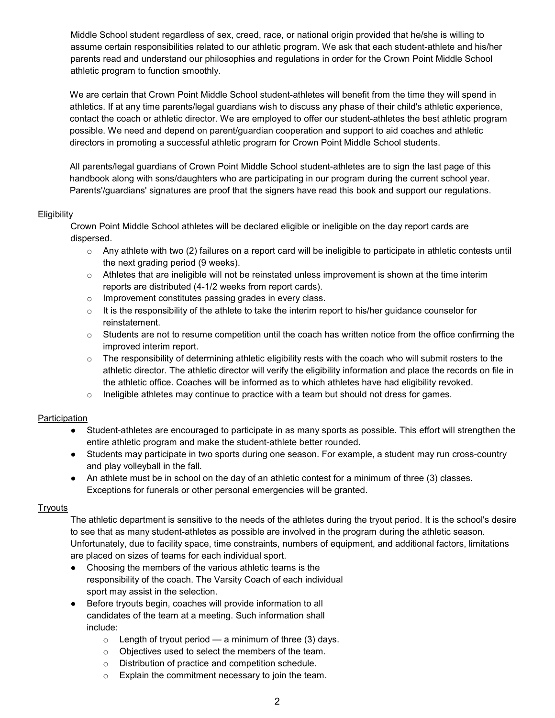Middle School student regardless of sex, creed, race, or national origin provided that he/she is willing to assume certain responsibilities related to our athletic program. We ask that each student-athlete and his/her parents read and understand our philosophies and regulations in order for the Crown Point Middle School athletic program to function smoothly.

We are certain that Crown Point Middle School student-athletes will benefit from the time they will spend in athletics. If at any time parents/legal guardians wish to discuss any phase of their child's athletic experience, contact the coach or athletic director. We are employed to offer our student-athletes the best athletic program possible. We need and depend on parent/guardian cooperation and support to aid coaches and athletic directors in promoting a successful athletic program for Crown Point Middle School students.

All parents/legal guardians of Crown Point Middle School student-athletes are to sign the last page of this handbook along with sons/daughters who are participating in our program during the current school year. Parents'/guardians' signatures are proof that the signers have read this book and support our regulations.

### **Eligibility**

Crown Point Middle School athletes will be declared eligible or ineligible on the day report cards are dispersed.

- $\circ$  Any athlete with two (2) failures on a report card will be ineligible to participate in athletic contests until the next grading period (9 weeks).
- $\circ$  Athletes that are ineligible will not be reinstated unless improvement is shown at the time interim reports are distributed (4-1/2 weeks from report cards).
- o Improvement constitutes passing grades in every class.
- $\circ$  It is the responsibility of the athlete to take the interim report to his/her guidance counselor for reinstatement.
- $\circ$  Students are not to resume competition until the coach has written notice from the office confirming the improved interim report.
- $\circ$  The responsibility of determining athletic eligibility rests with the coach who will submit rosters to the athletic director. The athletic director will verify the eligibility information and place the records on file in the athletic office. Coaches will be informed as to which athletes have had eligibility revoked.
- $\circ$  Ineligible athletes may continue to practice with a team but should not dress for games.

### Participation

- Student-athletes are encouraged to participate in as many sports as possible. This effort will strengthen the entire athletic program and make the student-athlete better rounded.
- Students may participate in two sports during one season. For example, a student may run cross-country and play volleyball in the fall.
- An athlete must be in school on the day of an athletic contest for a minimum of three (3) classes. Exceptions for funerals or other personal emergencies will be granted.

#### **Tryouts**

The athletic department is sensitive to the needs of the athletes during the tryout period. It is the school's desire to see that as many student-athletes as possible are involved in the program during the athletic season. Unfortunately, due to facility space, time constraints, numbers of equipment, and additional factors, limitations are placed on sizes of teams for each individual sport.

- Choosing the members of the various athletic teams is the responsibility of the coach. The Varsity Coach of each individual sport may assist in the selection.
- Before tryouts begin, coaches will provide information to all candidates of the team at a meeting. Such information shall include:
	- $\circ$  Length of tryout period a minimum of three (3) days.
	- o Objectives used to select the members of the team.
	- o Distribution of practice and competition schedule.
	- o Explain the commitment necessary to join the team.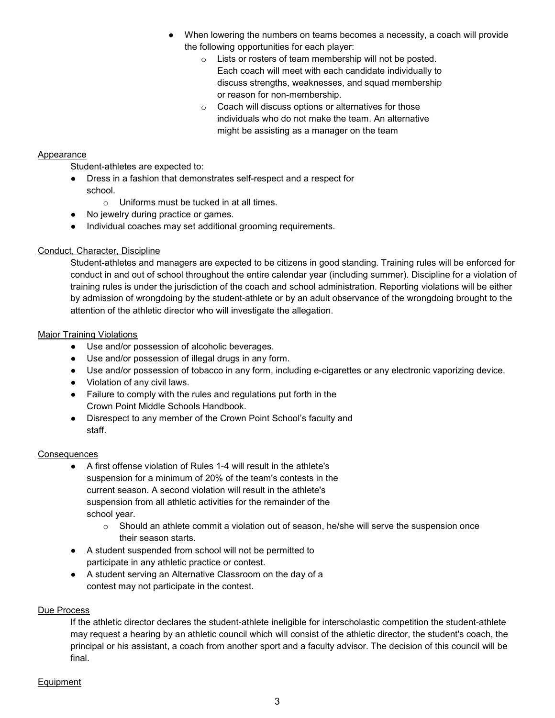- When lowering the numbers on teams becomes a necessity, a coach will provide the following opportunities for each player:
	- o Lists or rosters of team membership will not be posted. Each coach will meet with each candidate individually to discuss strengths, weaknesses, and squad membership or reason for non-membership.
	- o Coach will discuss options or alternatives for those individuals who do not make the team. An alternative might be assisting as a manager on the team

## **Appearance**

Student-athletes are expected to:

- Dress in a fashion that demonstrates self-respect and a respect for school.
	- o Uniforms must be tucked in at all times.
- No jewelry during practice or games.
- Individual coaches may set additional grooming requirements.

## Conduct, Character, Discipline

Student-athletes and managers are expected to be citizens in good standing. Training rules will be enforced for conduct in and out of school throughout the entire calendar year (including summer). Discipline for a violation of training rules is under the jurisdiction of the coach and school administration. Reporting violations will be either by admission of wrongdoing by the student-athlete or by an adult observance of the wrongdoing brought to the attention of the athletic director who will investigate the allegation.

### Major Training Violations

- Use and/or possession of alcoholic beverages.
- Use and/or possession of illegal drugs in any form.
- Use and/or possession of tobacco in any form, including e-cigarettes or any electronic vaporizing device.
- Violation of any civil laws.
- Failure to comply with the rules and regulations put forth in the Crown Point Middle Schools Handbook.
- Disrespect to any member of the Crown Point School's faculty and staff.

### **Consequences**

- A first offense violation of Rules 1-4 will result in the athlete's suspension for a minimum of 20% of the team's contests in the current season. A second violation will result in the athlete's suspension from all athletic activities for the remainder of the school year.
	- $\circ$  Should an athlete commit a violation out of season, he/she will serve the suspension once their season starts.
- A student suspended from school will not be permitted to participate in any athletic practice or contest.
- A student serving an Alternative Classroom on the day of a contest may not participate in the contest.

### Due Process

If the athletic director declares the student-athlete ineligible for interscholastic competition the student-athlete may request a hearing by an athletic council which will consist of the athletic director, the student's coach, the principal or his assistant, a coach from another sport and a faculty advisor. The decision of this council will be final.

### **Equipment**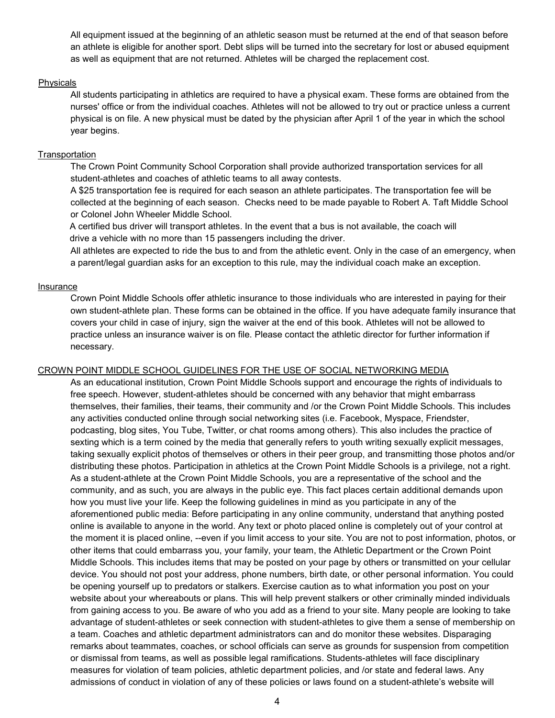All equipment issued at the beginning of an athletic season must be returned at the end of that season before an athlete is eligible for another sport. Debt slips will be turned into the secretary for lost or abused equipment as well as equipment that are not returned. Athletes will be charged the replacement cost.

#### Physicals

All students participating in athletics are required to have a physical exam. These forms are obtained from the nurses' office or from the individual coaches. Athletes will not be allowed to try out or practice unless a current physical is on file. A new physical must be dated by the physician after April 1 of the year in which the school year begins.

### **Transportation**

The Crown Point Community School Corporation shall provide authorized transportation services for all student-athletes and coaches of athletic teams to all away contests.

A \$25 transportation fee is required for each season an athlete participates. The transportation fee will be collected at the beginning of each season. Checks need to be made payable to Robert A. Taft Middle School or Colonel John Wheeler Middle School.

A certified bus driver will transport athletes. In the event that a bus is not available, the coach will drive a vehicle with no more than 15 passengers including the driver.

All athletes are expected to ride the bus to and from the athletic event. Only in the case of an emergency, when a parent/legal guardian asks for an exception to this rule, may the individual coach make an exception.

#### Insurance

Crown Point Middle Schools offer athletic insurance to those individuals who are interested in paying for their own student-athlete plan. These forms can be obtained in the office. If you have adequate family insurance that covers your child in case of injury, sign the waiver at the end of this book. Athletes will not be allowed to practice unless an insurance waiver is on file. Please contact the athletic director for further information if necessary.

### CROWN POINT MIDDLE SCHOOL GUIDELINES FOR THE USE OF SOCIAL NETWORKING MEDIA

As an educational institution, Crown Point Middle Schools support and encourage the rights of individuals to free speech. However, student-athletes should be concerned with any behavior that might embarrass themselves, their families, their teams, their community and /or the Crown Point Middle Schools. This includes any activities conducted online through social networking sites (i.e. Facebook, Myspace, Friendster, podcasting, blog sites, You Tube, Twitter, or chat rooms among others). This also includes the practice of sexting which is a term coined by the media that generally refers to youth writing sexually explicit messages, taking sexually explicit photos of themselves or others in their peer group, and transmitting those photos and/or distributing these photos. Participation in athletics at the Crown Point Middle Schools is a privilege, not a right. As a student-athlete at the Crown Point Middle Schools, you are a representative of the school and the community, and as such, you are always in the public eye. This fact places certain additional demands upon how you must live your life. Keep the following guidelines in mind as you participate in any of the aforementioned public media: Before participating in any online community, understand that anything posted online is available to anyone in the world. Any text or photo placed online is completely out of your control at the moment it is placed online, --even if you limit access to your site. You are not to post information, photos, or other items that could embarrass you, your family, your team, the Athletic Department or the Crown Point Middle Schools. This includes items that may be posted on your page by others or transmitted on your cellular device. You should not post your address, phone numbers, birth date, or other personal information. You could be opening yourself up to predators or stalkers. Exercise caution as to what information you post on your website about your whereabouts or plans. This will help prevent stalkers or other criminally minded individuals from gaining access to you. Be aware of who you add as a friend to your site. Many people are looking to take advantage of student-athletes or seek connection with student-athletes to give them a sense of membership on a team. Coaches and athletic department administrators can and do monitor these websites. Disparaging remarks about teammates, coaches, or school officials can serve as grounds for suspension from competition or dismissal from teams, as well as possible legal ramifications. Students-athletes will face disciplinary measures for violation of team policies, athletic department policies, and /or state and federal laws. Any admissions of conduct in violation of any of these policies or laws found on a student-athlete's website will